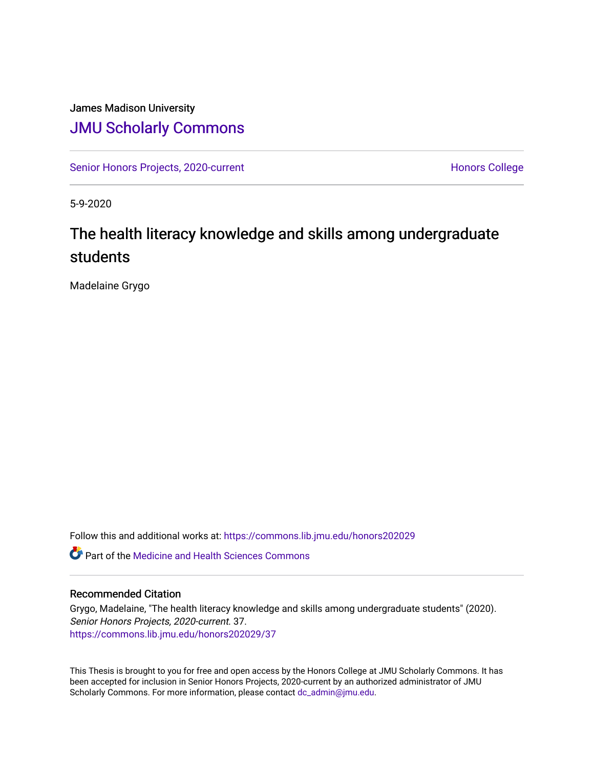# James Madison University [JMU Scholarly Commons](https://commons.lib.jmu.edu/)

[Senior Honors Projects, 2020-current](https://commons.lib.jmu.edu/honors202029) North [Honors College](https://commons.lib.jmu.edu/honors) Honors College

5-9-2020

# The health literacy knowledge and skills among undergraduate students

Madelaine Grygo

Follow this and additional works at: [https://commons.lib.jmu.edu/honors202029](https://commons.lib.jmu.edu/honors202029?utm_source=commons.lib.jmu.edu%2Fhonors202029%2F37&utm_medium=PDF&utm_campaign=PDFCoverPages)

**C**<sup> $\bullet$ </sup> Part of the Medicine and Health Sciences Commons

#### Recommended Citation

Grygo, Madelaine, "The health literacy knowledge and skills among undergraduate students" (2020). Senior Honors Projects, 2020-current. 37. [https://commons.lib.jmu.edu/honors202029/37](https://commons.lib.jmu.edu/honors202029/37?utm_source=commons.lib.jmu.edu%2Fhonors202029%2F37&utm_medium=PDF&utm_campaign=PDFCoverPages) 

This Thesis is brought to you for free and open access by the Honors College at JMU Scholarly Commons. It has been accepted for inclusion in Senior Honors Projects, 2020-current by an authorized administrator of JMU Scholarly Commons. For more information, please contact [dc\\_admin@jmu.edu.](mailto:dc_admin@jmu.edu)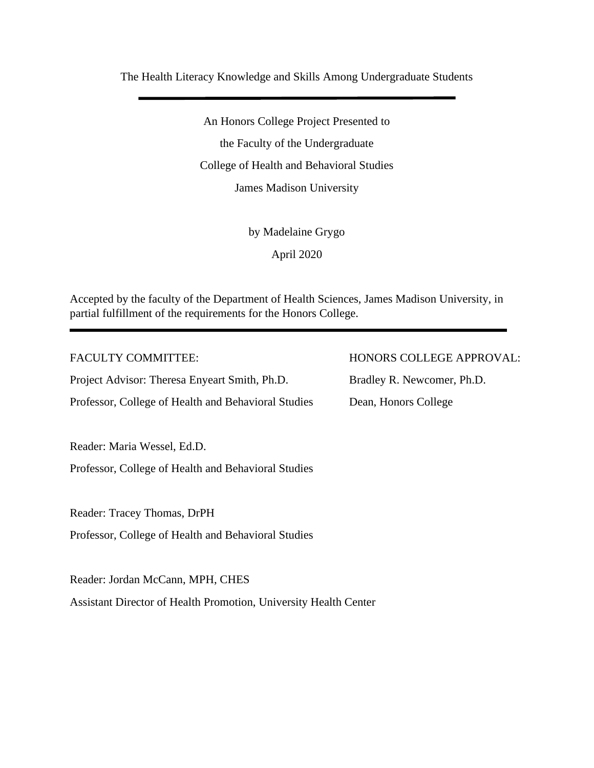The Health Literacy Knowledge and Skills Among Undergraduate Students

An Honors College Project Presented to the Faculty of the Undergraduate College of Health and Behavioral Studies James Madison University

by Madelaine Grygo

April 2020

Accepted by the faculty of the Department of Health Sciences, James Madison University, in partial fulfillment of the requirements for the Honors College.

Project Advisor: Theresa Enyeart Smith, Ph.D. Bradley R. Newcomer, Ph.D. Professor, College of Health and Behavioral Studies Dean, Honors College

Reader: Maria Wessel, Ed.D.

Professor, College of Health and Behavioral Studies

Reader: Tracey Thomas, DrPH

Professor, College of Health and Behavioral Studies

Reader: Jordan McCann, MPH, CHES Assistant Director of Health Promotion, University Health Center

FACULTY COMMITTEE: HONORS COLLEGE APPROVAL: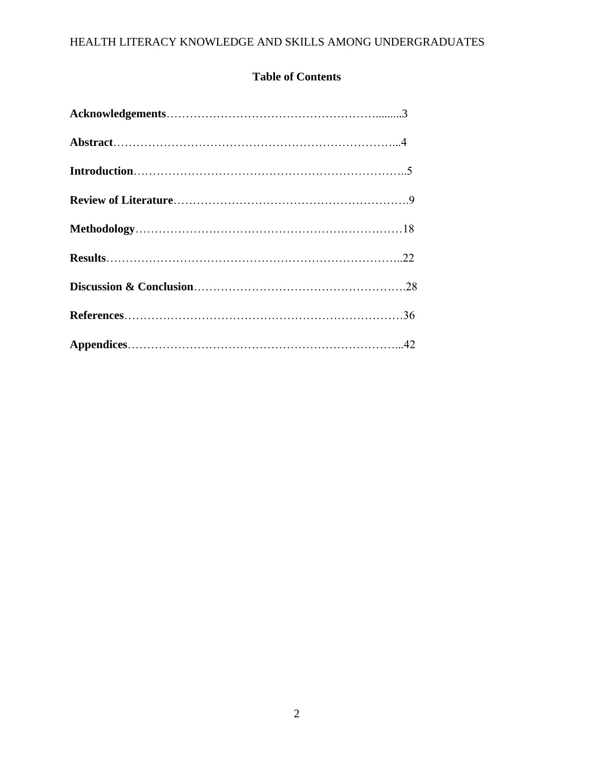# **Table of Contents**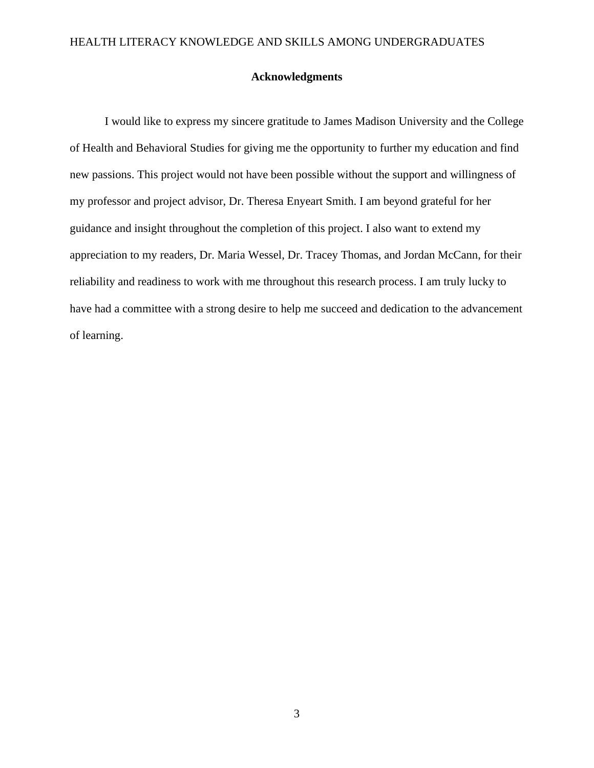### **Acknowledgments**

I would like to express my sincere gratitude to James Madison University and the College of Health and Behavioral Studies for giving me the opportunity to further my education and find new passions. This project would not have been possible without the support and willingness of my professor and project advisor, Dr. Theresa Enyeart Smith. I am beyond grateful for her guidance and insight throughout the completion of this project. I also want to extend my appreciation to my readers, Dr. Maria Wessel, Dr. Tracey Thomas, and Jordan McCann, for their reliability and readiness to work with me throughout this research process. I am truly lucky to have had a committee with a strong desire to help me succeed and dedication to the advancement of learning.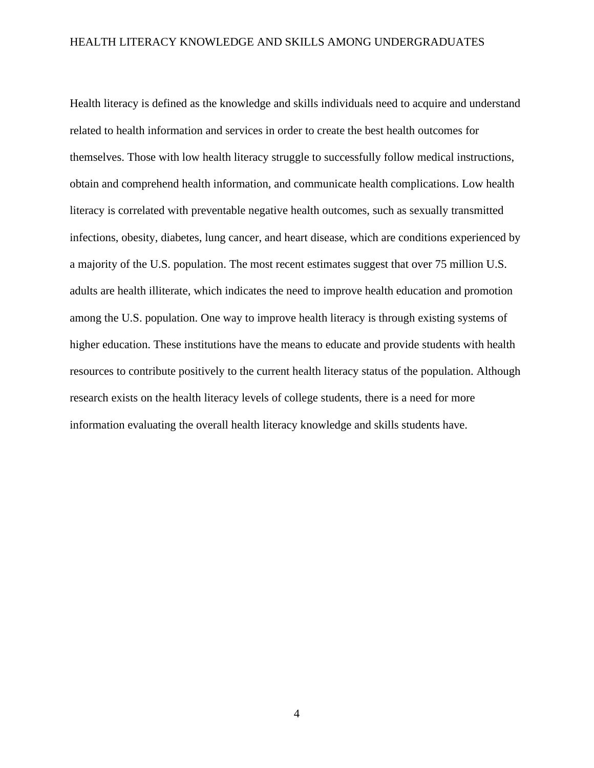Health literacy is defined as the knowledge and skills individuals need to acquire and understand related to health information and services in order to create the best health outcomes for themselves. Those with low health literacy struggle to successfully follow medical instructions, obtain and comprehend health information, and communicate health complications. Low health literacy is correlated with preventable negative health outcomes, such as sexually transmitted infections, obesity, diabetes, lung cancer, and heart disease, which are conditions experienced by a majority of the U.S. population. The most recent estimates suggest that over 75 million U.S. adults are health illiterate, which indicates the need to improve health education and promotion among the U.S. population. One way to improve health literacy is through existing systems of higher education. These institutions have the means to educate and provide students with health resources to contribute positively to the current health literacy status of the population. Although research exists on the health literacy levels of college students, there is a need for more information evaluating the overall health literacy knowledge and skills students have.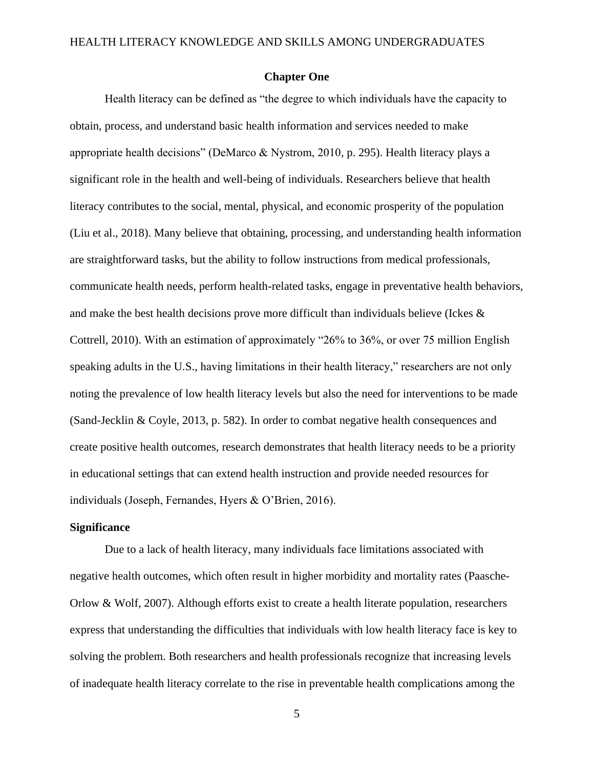#### **Chapter One**

Health literacy can be defined as "the degree to which individuals have the capacity to obtain, process, and understand basic health information and services needed to make appropriate health decisions" (DeMarco & Nystrom, 2010, p. 295). Health literacy plays a significant role in the health and well-being of individuals. Researchers believe that health literacy contributes to the social, mental, physical, and economic prosperity of the population (Liu et al., 2018). Many believe that obtaining, processing, and understanding health information are straightforward tasks, but the ability to follow instructions from medical professionals, communicate health needs, perform health-related tasks, engage in preventative health behaviors, and make the best health decisions prove more difficult than individuals believe (Ickes & Cottrell, 2010). With an estimation of approximately "26% to 36%, or over 75 million English speaking adults in the U.S., having limitations in their health literacy," researchers are not only noting the prevalence of low health literacy levels but also the need for interventions to be made (Sand-Jecklin & Coyle, 2013, p. 582). In order to combat negative health consequences and create positive health outcomes, research demonstrates that health literacy needs to be a priority in educational settings that can extend health instruction and provide needed resources for individuals (Joseph, Fernandes, Hyers & O'Brien, 2016).

#### **Significance**

Due to a lack of health literacy, many individuals face limitations associated with negative health outcomes, which often result in higher morbidity and mortality rates (Paasche-Orlow & Wolf, 2007). Although efforts exist to create a health literate population, researchers express that understanding the difficulties that individuals with low health literacy face is key to solving the problem. Both researchers and health professionals recognize that increasing levels of inadequate health literacy correlate to the rise in preventable health complications among the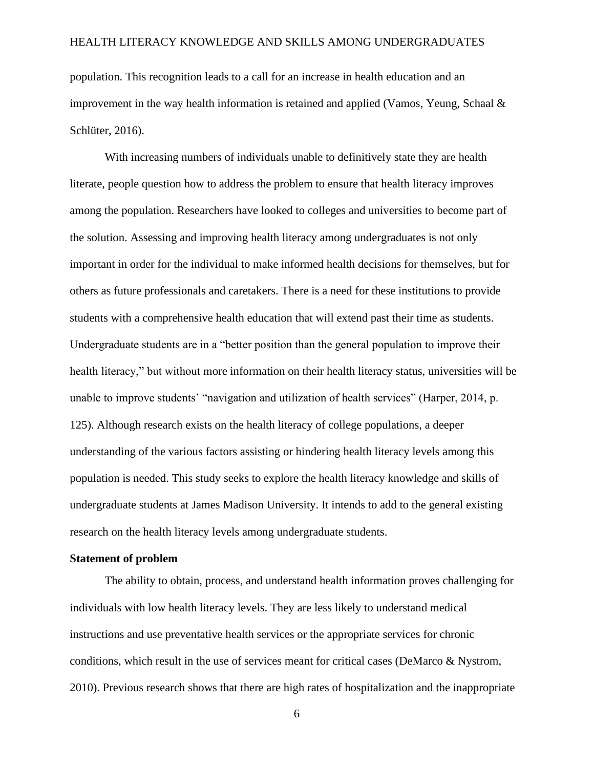population. This recognition leads to a call for an increase in health education and an improvement in the way health information is retained and applied (Vamos, Yeung, Schaal  $\&$ Schlüter, 2016).

With increasing numbers of individuals unable to definitively state they are health literate, people question how to address the problem to ensure that health literacy improves among the population. Researchers have looked to colleges and universities to become part of the solution. Assessing and improving health literacy among undergraduates is not only important in order for the individual to make informed health decisions for themselves, but for others as future professionals and caretakers. There is a need for these institutions to provide students with a comprehensive health education that will extend past their time as students. Undergraduate students are in a "better position than the general population to improve their health literacy," but without more information on their health literacy status, universities will be unable to improve students' "navigation and utilization of health services" (Harper, 2014, p. 125). Although research exists on the health literacy of college populations, a deeper understanding of the various factors assisting or hindering health literacy levels among this population is needed. This study seeks to explore the health literacy knowledge and skills of undergraduate students at James Madison University. It intends to add to the general existing research on the health literacy levels among undergraduate students.

#### **Statement of problem**

The ability to obtain, process, and understand health information proves challenging for individuals with low health literacy levels. They are less likely to understand medical instructions and use preventative health services or the appropriate services for chronic conditions, which result in the use of services meant for critical cases (DeMarco & Nystrom, 2010). Previous research shows that there are high rates of hospitalization and the inappropriate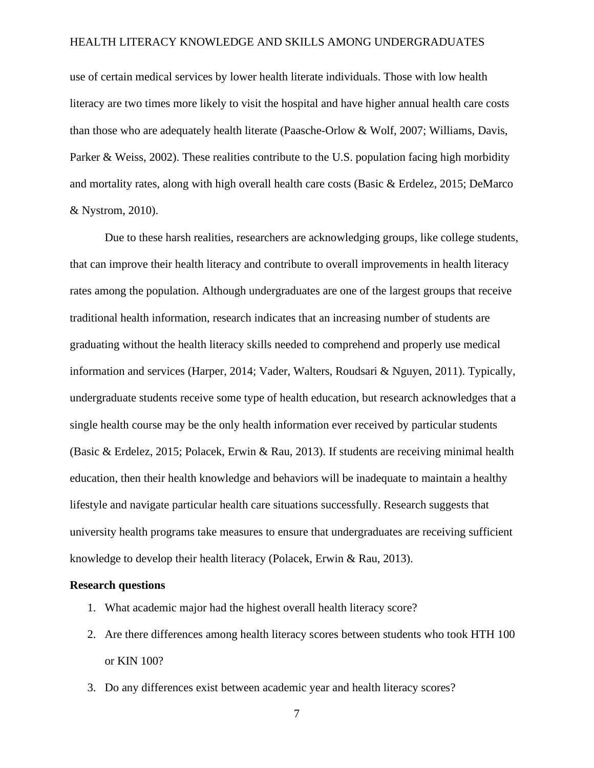use of certain medical services by lower health literate individuals. Those with low health literacy are two times more likely to visit the hospital and have higher annual health care costs than those who are adequately health literate (Paasche-Orlow & Wolf, 2007; Williams, Davis, Parker & Weiss, 2002). These realities contribute to the U.S. population facing high morbidity and mortality rates, along with high overall health care costs (Basic & Erdelez, 2015; DeMarco & Nystrom, 2010).

Due to these harsh realities, researchers are acknowledging groups, like college students, that can improve their health literacy and contribute to overall improvements in health literacy rates among the population. Although undergraduates are one of the largest groups that receive traditional health information, research indicates that an increasing number of students are graduating without the health literacy skills needed to comprehend and properly use medical information and services (Harper, 2014; Vader, Walters, Roudsari & Nguyen, 2011). Typically, undergraduate students receive some type of health education, but research acknowledges that a single health course may be the only health information ever received by particular students (Basic & Erdelez, 2015; Polacek, Erwin & Rau, 2013). If students are receiving minimal health education, then their health knowledge and behaviors will be inadequate to maintain a healthy lifestyle and navigate particular health care situations successfully. Research suggests that university health programs take measures to ensure that undergraduates are receiving sufficient knowledge to develop their health literacy (Polacek, Erwin & Rau, 2013).

#### **Research questions**

- 1. What academic major had the highest overall health literacy score?
- 2. Are there differences among health literacy scores between students who took HTH 100 or KIN 100?
- 3. Do any differences exist between academic year and health literacy scores?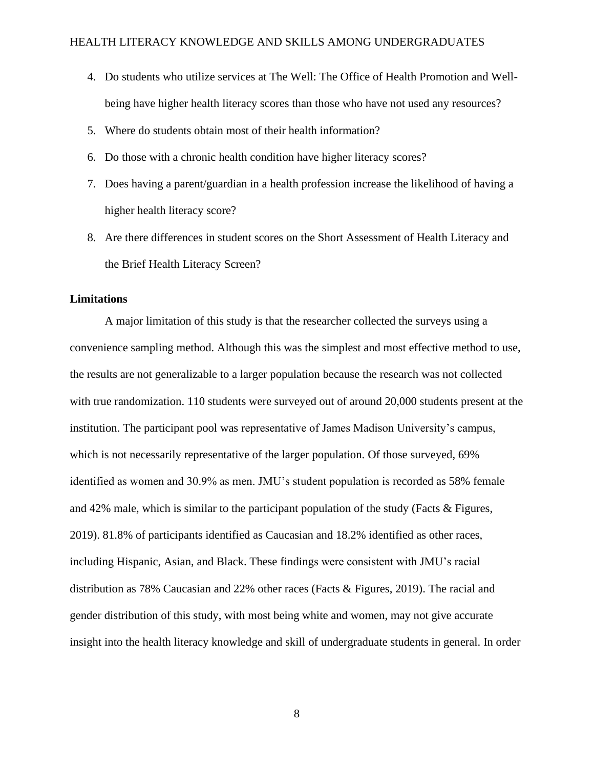- 4. Do students who utilize services at The Well: The Office of Health Promotion and Wellbeing have higher health literacy scores than those who have not used any resources?
- 5. Where do students obtain most of their health information?
- 6. Do those with a chronic health condition have higher literacy scores?
- 7. Does having a parent/guardian in a health profession increase the likelihood of having a higher health literacy score?
- 8. Are there differences in student scores on the Short Assessment of Health Literacy and the Brief Health Literacy Screen?

#### **Limitations**

A major limitation of this study is that the researcher collected the surveys using a convenience sampling method. Although this was the simplest and most effective method to use, the results are not generalizable to a larger population because the research was not collected with true randomization. 110 students were surveyed out of around 20,000 students present at the institution. The participant pool was representative of James Madison University's campus, which is not necessarily representative of the larger population. Of those surveyed, 69% identified as women and 30.9% as men. JMU's student population is recorded as 58% female and 42% male, which is similar to the participant population of the study (Facts & Figures, 2019). 81.8% of participants identified as Caucasian and 18.2% identified as other races, including Hispanic, Asian, and Black. These findings were consistent with JMU's racial distribution as 78% Caucasian and 22% other races (Facts & Figures, 2019). The racial and gender distribution of this study, with most being white and women, may not give accurate insight into the health literacy knowledge and skill of undergraduate students in general. In order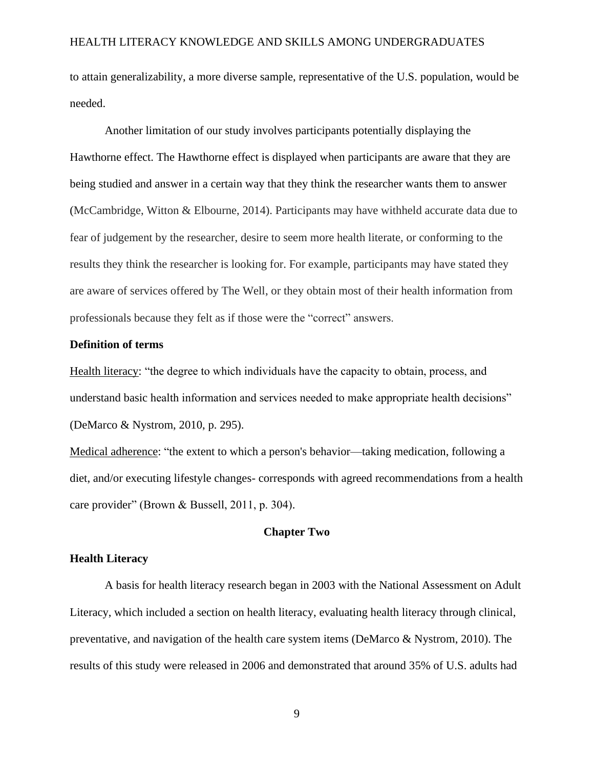to attain generalizability, a more diverse sample, representative of the U.S. population, would be needed.

Another limitation of our study involves participants potentially displaying the Hawthorne effect. The Hawthorne effect is displayed when participants are aware that they are being studied and answer in a certain way that they think the researcher wants them to answer (McCambridge, Witton & Elbourne, 2014). Participants may have withheld accurate data due to fear of judgement by the researcher, desire to seem more health literate, or conforming to the results they think the researcher is looking for. For example, participants may have stated they are aware of services offered by The Well, or they obtain most of their health information from professionals because they felt as if those were the "correct" answers.

#### **Definition of terms**

Health literacy: "the degree to which individuals have the capacity to obtain, process, and understand basic health information and services needed to make appropriate health decisions" (DeMarco & Nystrom, 2010, p. 295).

Medical adherence: "the extent to which a person's behavior—taking medication, following a diet, and/or executing lifestyle changes- corresponds with agreed recommendations from a health care provider" (Brown & Bussell, 2011, p. 304).

#### **Chapter Two**

#### **Health Literacy**

A basis for health literacy research began in 2003 with the National Assessment on Adult Literacy, which included a section on health literacy, evaluating health literacy through clinical, preventative, and navigation of the health care system items (DeMarco & Nystrom, 2010). The results of this study were released in 2006 and demonstrated that around 35% of U.S. adults had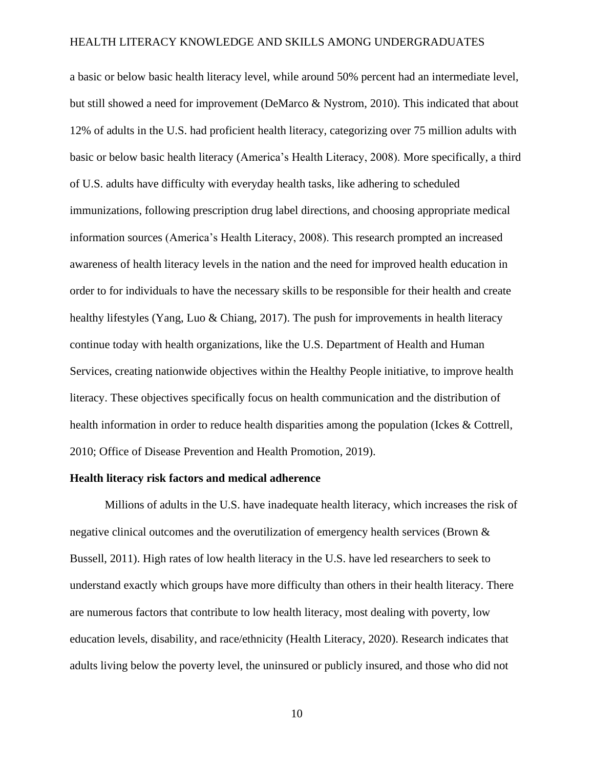a basic or below basic health literacy level, while around 50% percent had an intermediate level, but still showed a need for improvement (DeMarco & Nystrom, 2010). This indicated that about 12% of adults in the U.S. had proficient health literacy, categorizing over 75 million adults with basic or below basic health literacy (America's Health Literacy, 2008). More specifically, a third of U.S. adults have difficulty with everyday health tasks, like adhering to scheduled immunizations, following prescription drug label directions, and choosing appropriate medical information sources (America's Health Literacy, 2008). This research prompted an increased awareness of health literacy levels in the nation and the need for improved health education in order to for individuals to have the necessary skills to be responsible for their health and create healthy lifestyles (Yang, Luo & Chiang, 2017). The push for improvements in health literacy continue today with health organizations, like the U.S. Department of Health and Human Services, creating nationwide objectives within the Healthy People initiative, to improve health literacy. These objectives specifically focus on health communication and the distribution of health information in order to reduce health disparities among the population (Ickes & Cottrell, 2010; Office of Disease Prevention and Health Promotion, 2019).

#### **Health literacy risk factors and medical adherence**

Millions of adults in the U.S. have inadequate health literacy, which increases the risk of negative clinical outcomes and the overutilization of emergency health services (Brown & Bussell, 2011). High rates of low health literacy in the U.S. have led researchers to seek to understand exactly which groups have more difficulty than others in their health literacy. There are numerous factors that contribute to low health literacy, most dealing with poverty, low education levels, disability, and race/ethnicity (Health Literacy, 2020). Research indicates that adults living below the poverty level, the uninsured or publicly insured, and those who did not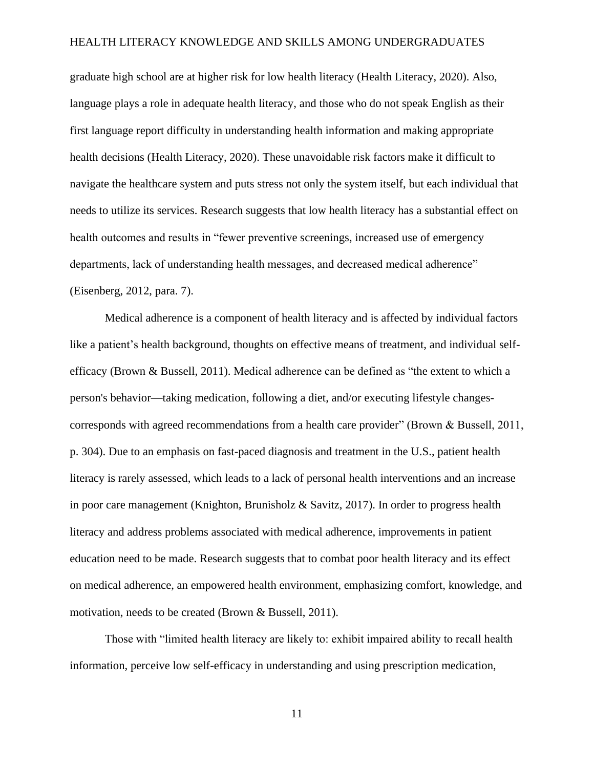graduate high school are at higher risk for low health literacy (Health Literacy, 2020). Also, language plays a role in adequate health literacy, and those who do not speak English as their first language report difficulty in understanding health information and making appropriate health decisions (Health Literacy, 2020). These unavoidable risk factors make it difficult to navigate the healthcare system and puts stress not only the system itself, but each individual that needs to utilize its services. Research suggests that low health literacy has a substantial effect on health outcomes and results in "fewer preventive screenings, increased use of emergency departments, lack of understanding health messages, and decreased medical adherence" (Eisenberg, 2012, para. 7).

Medical adherence is a component of health literacy and is affected by individual factors like a patient's health background, thoughts on effective means of treatment, and individual selfefficacy (Brown & Bussell, 2011). Medical adherence can be defined as "the extent to which a person's behavior—taking medication, following a diet, and/or executing lifestyle changescorresponds with agreed recommendations from a health care provider" (Brown & Bussell, 2011, p. 304). Due to an emphasis on fast-paced diagnosis and treatment in the U.S., patient health literacy is rarely assessed, which leads to a lack of personal health interventions and an increase in poor care management (Knighton, Brunisholz & Savitz, 2017). In order to progress health literacy and address problems associated with medical adherence, improvements in patient education need to be made. Research suggests that to combat poor health literacy and its effect on medical adherence, an empowered health environment, emphasizing comfort, knowledge, and motivation, needs to be created (Brown & Bussell, 2011).

Those with "limited health literacy are likely to: exhibit impaired ability to recall health information, perceive low self-efficacy in understanding and using prescription medication,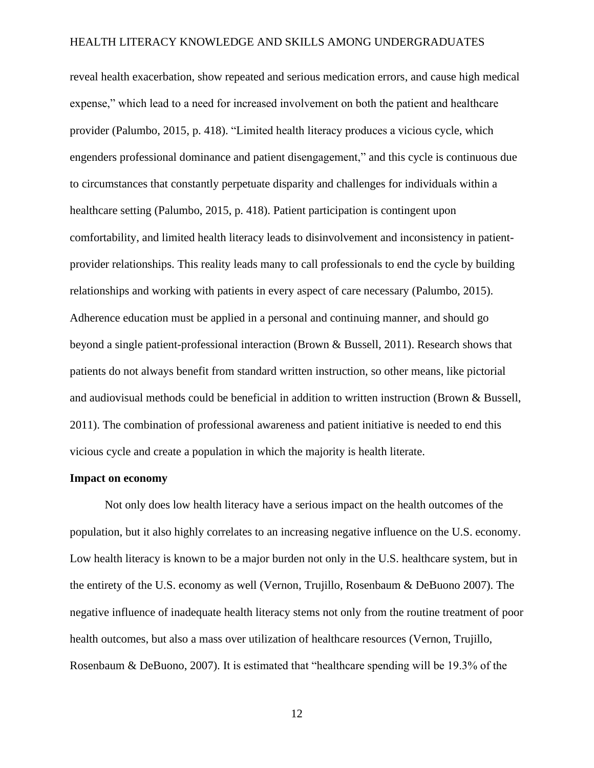reveal health exacerbation, show repeated and serious medication errors, and cause high medical expense," which lead to a need for increased involvement on both the patient and healthcare provider (Palumbo, 2015, p. 418). "Limited health literacy produces a vicious cycle, which engenders professional dominance and patient disengagement," and this cycle is continuous due to circumstances that constantly perpetuate disparity and challenges for individuals within a healthcare setting (Palumbo, 2015, p. 418). Patient participation is contingent upon comfortability, and limited health literacy leads to disinvolvement and inconsistency in patientprovider relationships. This reality leads many to call professionals to end the cycle by building relationships and working with patients in every aspect of care necessary (Palumbo, 2015). Adherence education must be applied in a personal and continuing manner, and should go beyond a single patient-professional interaction (Brown & Bussell, 2011). Research shows that patients do not always benefit from standard written instruction, so other means, like pictorial and audiovisual methods could be beneficial in addition to written instruction (Brown & Bussell, 2011). The combination of professional awareness and patient initiative is needed to end this vicious cycle and create a population in which the majority is health literate.

#### **Impact on economy**

Not only does low health literacy have a serious impact on the health outcomes of the population, but it also highly correlates to an increasing negative influence on the U.S. economy. Low health literacy is known to be a major burden not only in the U.S. healthcare system, but in the entirety of the U.S. economy as well (Vernon, Trujillo, Rosenbaum & DeBuono 2007). The negative influence of inadequate health literacy stems not only from the routine treatment of poor health outcomes, but also a mass over utilization of healthcare resources (Vernon, Trujillo, Rosenbaum & DeBuono, 2007). It is estimated that "healthcare spending will be 19.3% of the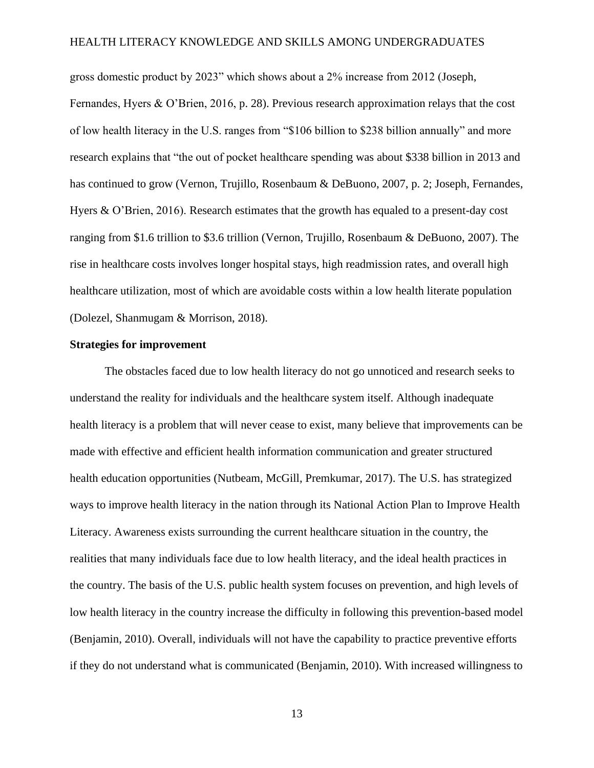gross domestic product by 2023" which shows about a 2% increase from 2012 (Joseph, Fernandes, Hyers & O'Brien, 2016, p. 28). Previous research approximation relays that the cost of low health literacy in the U.S. ranges from "\$106 billion to \$238 billion annually" and more research explains that "the out of pocket healthcare spending was about \$338 billion in 2013 and has continued to grow (Vernon, Trujillo, Rosenbaum & DeBuono, 2007, p. 2; Joseph, Fernandes, Hyers & O'Brien, 2016). Research estimates that the growth has equaled to a present-day cost ranging from \$1.6 trillion to \$3.6 trillion (Vernon, Trujillo, Rosenbaum & DeBuono, 2007). The rise in healthcare costs involves longer hospital stays, high readmission rates, and overall high healthcare utilization, most of which are avoidable costs within a low health literate population (Dolezel, Shanmugam & Morrison, 2018).

#### **Strategies for improvement**

The obstacles faced due to low health literacy do not go unnoticed and research seeks to understand the reality for individuals and the healthcare system itself. Although inadequate health literacy is a problem that will never cease to exist, many believe that improvements can be made with effective and efficient health information communication and greater structured health education opportunities (Nutbeam, McGill, Premkumar, 2017). The U.S. has strategized ways to improve health literacy in the nation through its National Action Plan to Improve Health Literacy. Awareness exists surrounding the current healthcare situation in the country, the realities that many individuals face due to low health literacy, and the ideal health practices in the country. The basis of the U.S. public health system focuses on prevention, and high levels of low health literacy in the country increase the difficulty in following this prevention-based model (Benjamin, 2010). Overall, individuals will not have the capability to practice preventive efforts if they do not understand what is communicated (Benjamin, 2010). With increased willingness to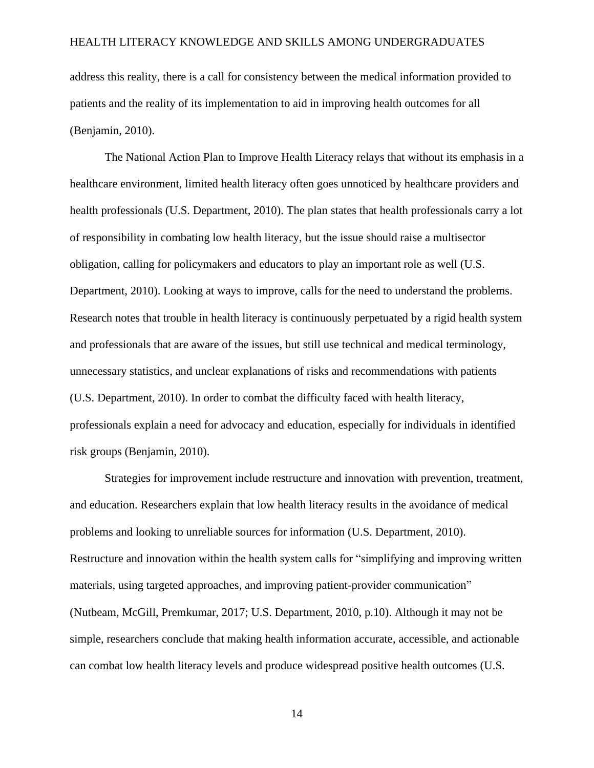address this reality, there is a call for consistency between the medical information provided to patients and the reality of its implementation to aid in improving health outcomes for all (Benjamin, 2010).

The National Action Plan to Improve Health Literacy relays that without its emphasis in a healthcare environment, limited health literacy often goes unnoticed by healthcare providers and health professionals (U.S. Department, 2010). The plan states that health professionals carry a lot of responsibility in combating low health literacy, but the issue should raise a multisector obligation, calling for policymakers and educators to play an important role as well (U.S. Department, 2010). Looking at ways to improve, calls for the need to understand the problems. Research notes that trouble in health literacy is continuously perpetuated by a rigid health system and professionals that are aware of the issues, but still use technical and medical terminology, unnecessary statistics, and unclear explanations of risks and recommendations with patients (U.S. Department, 2010). In order to combat the difficulty faced with health literacy, professionals explain a need for advocacy and education, especially for individuals in identified risk groups (Benjamin, 2010).

Strategies for improvement include restructure and innovation with prevention, treatment, and education. Researchers explain that low health literacy results in the avoidance of medical problems and looking to unreliable sources for information (U.S. Department, 2010). Restructure and innovation within the health system calls for "simplifying and improving written materials, using targeted approaches, and improving patient-provider communication" (Nutbeam, McGill, Premkumar, 2017; U.S. Department, 2010, p.10). Although it may not be simple, researchers conclude that making health information accurate, accessible, and actionable can combat low health literacy levels and produce widespread positive health outcomes (U.S.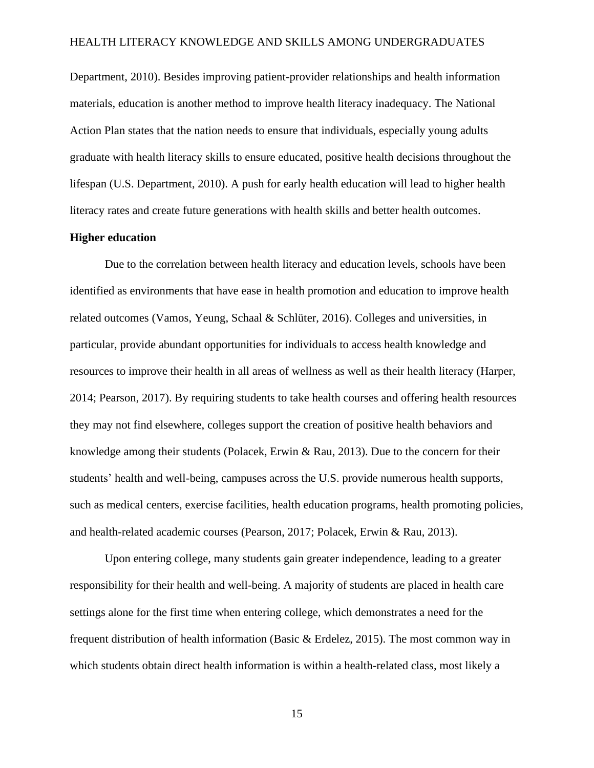Department, 2010). Besides improving patient-provider relationships and health information materials, education is another method to improve health literacy inadequacy. The National Action Plan states that the nation needs to ensure that individuals, especially young adults graduate with health literacy skills to ensure educated, positive health decisions throughout the lifespan (U.S. Department, 2010). A push for early health education will lead to higher health literacy rates and create future generations with health skills and better health outcomes.

#### **Higher education**

Due to the correlation between health literacy and education levels, schools have been identified as environments that have ease in health promotion and education to improve health related outcomes (Vamos, Yeung, Schaal & Schlüter, 2016). Colleges and universities, in particular, provide abundant opportunities for individuals to access health knowledge and resources to improve their health in all areas of wellness as well as their health literacy (Harper, 2014; Pearson, 2017). By requiring students to take health courses and offering health resources they may not find elsewhere, colleges support the creation of positive health behaviors and knowledge among their students (Polacek, Erwin & Rau, 2013). Due to the concern for their students' health and well-being, campuses across the U.S. provide numerous health supports, such as medical centers, exercise facilities, health education programs, health promoting policies, and health-related academic courses (Pearson, 2017; Polacek, Erwin & Rau, 2013).

Upon entering college, many students gain greater independence, leading to a greater responsibility for their health and well-being. A majority of students are placed in health care settings alone for the first time when entering college, which demonstrates a need for the frequent distribution of health information (Basic & Erdelez, 2015). The most common way in which students obtain direct health information is within a health-related class, most likely a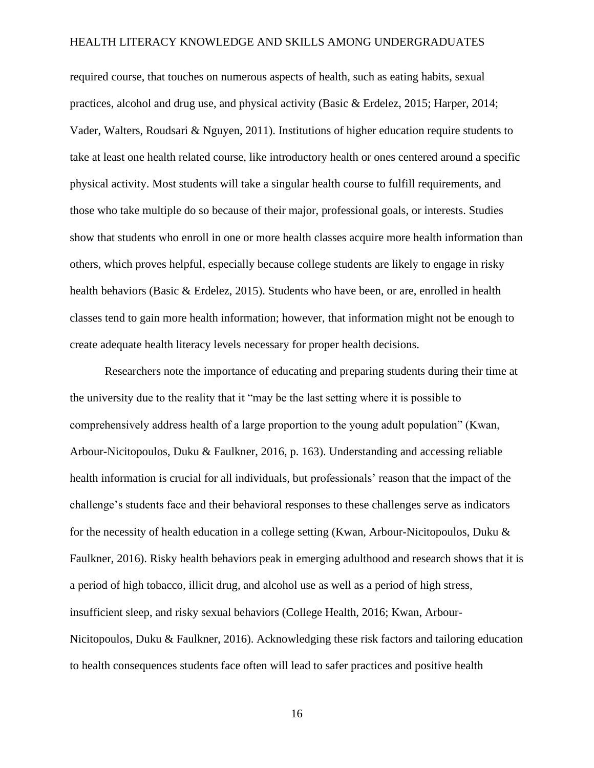required course, that touches on numerous aspects of health, such as eating habits, sexual practices, alcohol and drug use, and physical activity (Basic & Erdelez, 2015; Harper, 2014; Vader, Walters, Roudsari & Nguyen, 2011). Institutions of higher education require students to take at least one health related course, like introductory health or ones centered around a specific physical activity. Most students will take a singular health course to fulfill requirements, and those who take multiple do so because of their major, professional goals, or interests. Studies show that students who enroll in one or more health classes acquire more health information than others, which proves helpful, especially because college students are likely to engage in risky health behaviors (Basic & Erdelez, 2015). Students who have been, or are, enrolled in health classes tend to gain more health information; however, that information might not be enough to create adequate health literacy levels necessary for proper health decisions.

Researchers note the importance of educating and preparing students during their time at the university due to the reality that it "may be the last setting where it is possible to comprehensively address health of a large proportion to the young adult population" (Kwan, Arbour-Nicitopoulos, Duku & Faulkner, 2016, p. 163). Understanding and accessing reliable health information is crucial for all individuals, but professionals' reason that the impact of the challenge's students face and their behavioral responses to these challenges serve as indicators for the necessity of health education in a college setting (Kwan, Arbour-Nicitopoulos, Duku & Faulkner, 2016). Risky health behaviors peak in emerging adulthood and research shows that it is a period of high tobacco, illicit drug, and alcohol use as well as a period of high stress, insufficient sleep, and risky sexual behaviors (College Health, 2016; Kwan, Arbour-Nicitopoulos, Duku & Faulkner, 2016). Acknowledging these risk factors and tailoring education to health consequences students face often will lead to safer practices and positive health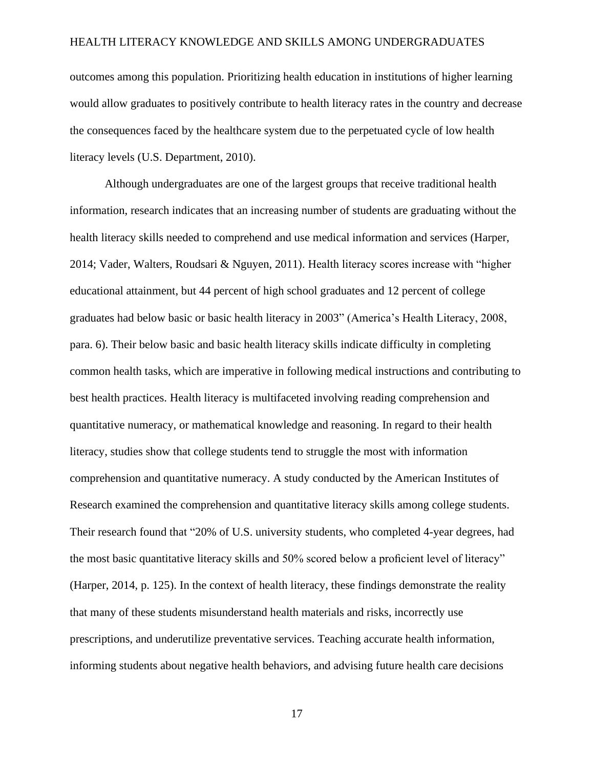outcomes among this population. Prioritizing health education in institutions of higher learning would allow graduates to positively contribute to health literacy rates in the country and decrease the consequences faced by the healthcare system due to the perpetuated cycle of low health literacy levels (U.S. Department, 2010).

Although undergraduates are one of the largest groups that receive traditional health information, research indicates that an increasing number of students are graduating without the health literacy skills needed to comprehend and use medical information and services (Harper, 2014; Vader, Walters, Roudsari & Nguyen, 2011). Health literacy scores increase with "higher educational attainment, but 44 percent of high school graduates and 12 percent of college graduates had below basic or basic health literacy in 2003" (America's Health Literacy, 2008, para. 6). Their below basic and basic health literacy skills indicate difficulty in completing common health tasks, which are imperative in following medical instructions and contributing to best health practices. Health literacy is multifaceted involving reading comprehension and quantitative numeracy, or mathematical knowledge and reasoning. In regard to their health literacy, studies show that college students tend to struggle the most with information comprehension and quantitative numeracy. A study conducted by the American Institutes of Research examined the comprehension and quantitative literacy skills among college students. Their research found that "20% of U.S. university students, who completed 4-year degrees, had the most basic quantitative literacy skills and 50% scored below a proficient level of literacy" (Harper, 2014, p. 125). In the context of health literacy, these findings demonstrate the reality that many of these students misunderstand health materials and risks, incorrectly use prescriptions, and underutilize preventative services. Teaching accurate health information, informing students about negative health behaviors, and advising future health care decisions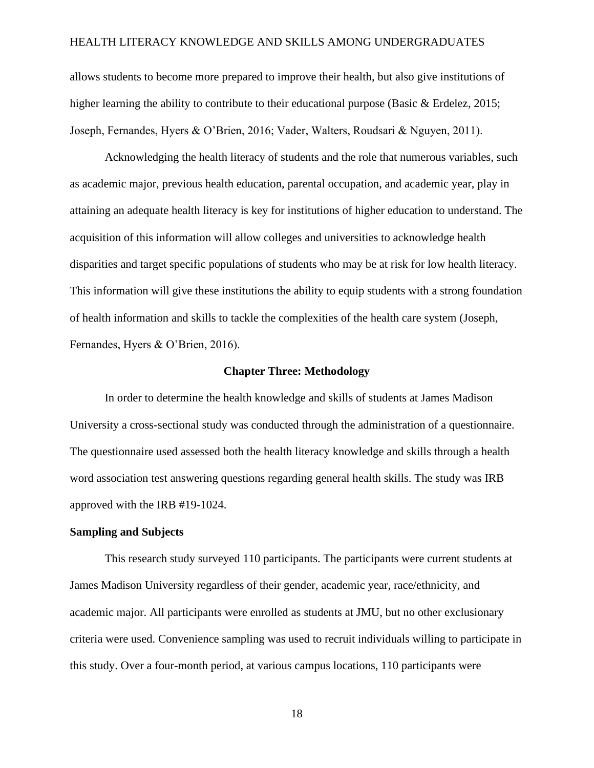allows students to become more prepared to improve their health, but also give institutions of higher learning the ability to contribute to their educational purpose (Basic & Erdelez, 2015; Joseph, Fernandes, Hyers & O'Brien, 2016; Vader, Walters, Roudsari & Nguyen, 2011).

Acknowledging the health literacy of students and the role that numerous variables, such as academic major, previous health education, parental occupation, and academic year, play in attaining an adequate health literacy is key for institutions of higher education to understand. The acquisition of this information will allow colleges and universities to acknowledge health disparities and target specific populations of students who may be at risk for low health literacy. This information will give these institutions the ability to equip students with a strong foundation of health information and skills to tackle the complexities of the health care system (Joseph, Fernandes, Hyers & O'Brien, 2016).

#### **Chapter Three: Methodology**

In order to determine the health knowledge and skills of students at James Madison University a cross-sectional study was conducted through the administration of a questionnaire. The questionnaire used assessed both the health literacy knowledge and skills through a health word association test answering questions regarding general health skills. The study was IRB approved with the IRB #19-1024.

#### **Sampling and Subjects**

This research study surveyed 110 participants. The participants were current students at James Madison University regardless of their gender, academic year, race/ethnicity, and academic major. All participants were enrolled as students at JMU, but no other exclusionary criteria were used. Convenience sampling was used to recruit individuals willing to participate in this study. Over a four-month period, at various campus locations, 110 participants were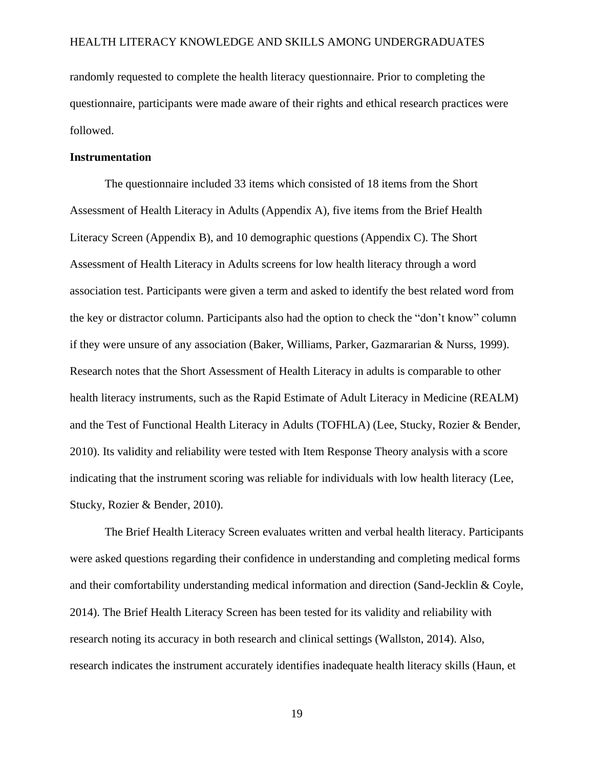randomly requested to complete the health literacy questionnaire. Prior to completing the questionnaire, participants were made aware of their rights and ethical research practices were followed.

#### **Instrumentation**

The questionnaire included 33 items which consisted of 18 items from the Short Assessment of Health Literacy in Adults (Appendix A), five items from the Brief Health Literacy Screen (Appendix B), and 10 demographic questions (Appendix C). The Short Assessment of Health Literacy in Adults screens for low health literacy through a word association test. Participants were given a term and asked to identify the best related word from the key or distractor column. Participants also had the option to check the "don't know" column if they were unsure of any association (Baker, Williams, Parker, Gazmararian & Nurss, 1999). Research notes that the Short Assessment of Health Literacy in adults is comparable to other health literacy instruments, such as the Rapid Estimate of Adult Literacy in Medicine (REALM) and the Test of Functional Health Literacy in Adults (TOFHLA) (Lee, Stucky, Rozier & Bender, 2010). Its validity and reliability were tested with Item Response Theory analysis with a score indicating that the instrument scoring was reliable for individuals with low health literacy (Lee, Stucky, Rozier & Bender, 2010).

The Brief Health Literacy Screen evaluates written and verbal health literacy. Participants were asked questions regarding their confidence in understanding and completing medical forms and their comfortability understanding medical information and direction (Sand-Jecklin & Coyle, 2014). The Brief Health Literacy Screen has been tested for its validity and reliability with research noting its accuracy in both research and clinical settings (Wallston, 2014). Also, research indicates the instrument accurately identifies inadequate health literacy skills (Haun, et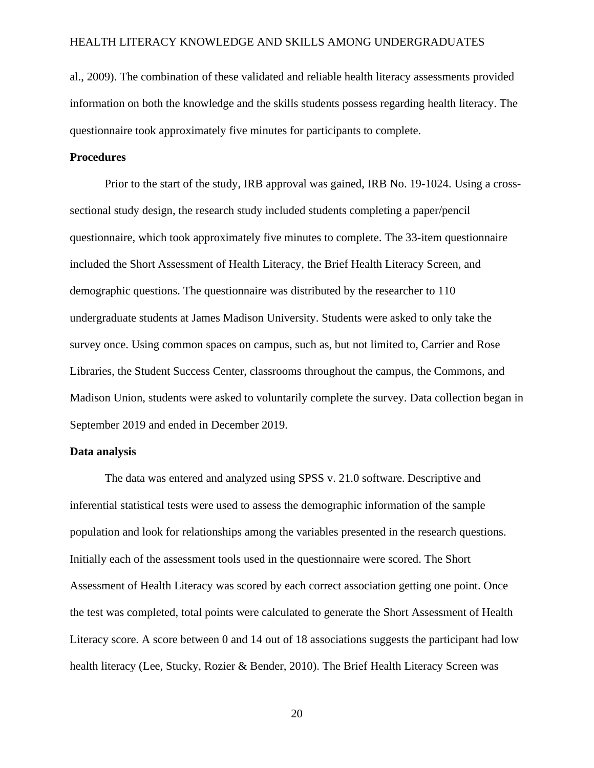al., 2009). The combination of these validated and reliable health literacy assessments provided information on both the knowledge and the skills students possess regarding health literacy. The questionnaire took approximately five minutes for participants to complete.

#### **Procedures**

Prior to the start of the study, IRB approval was gained, IRB No. 19-1024. Using a crosssectional study design, the research study included students completing a paper/pencil questionnaire, which took approximately five minutes to complete. The 33-item questionnaire included the Short Assessment of Health Literacy, the Brief Health Literacy Screen, and demographic questions. The questionnaire was distributed by the researcher to 110 undergraduate students at James Madison University. Students were asked to only take the survey once. Using common spaces on campus, such as, but not limited to, Carrier and Rose Libraries, the Student Success Center, classrooms throughout the campus, the Commons, and Madison Union, students were asked to voluntarily complete the survey. Data collection began in September 2019 and ended in December 2019.

#### **Data analysis**

The data was entered and analyzed using SPSS v. 21.0 software. Descriptive and inferential statistical tests were used to assess the demographic information of the sample population and look for relationships among the variables presented in the research questions. Initially each of the assessment tools used in the questionnaire were scored. The Short Assessment of Health Literacy was scored by each correct association getting one point. Once the test was completed, total points were calculated to generate the Short Assessment of Health Literacy score. A score between 0 and 14 out of 18 associations suggests the participant had low health literacy (Lee, Stucky, Rozier & Bender, 2010). The Brief Health Literacy Screen was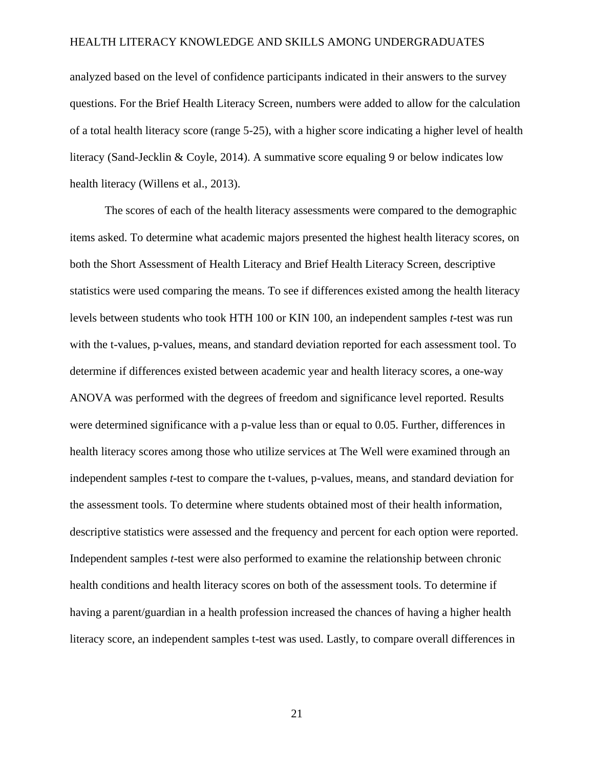analyzed based on the level of confidence participants indicated in their answers to the survey questions. For the Brief Health Literacy Screen, numbers were added to allow for the calculation of a total health literacy score (range 5-25), with a higher score indicating a higher level of health literacy (Sand-Jecklin & Coyle, 2014). A summative score equaling 9 or below indicates low health literacy (Willens et al., 2013).

The scores of each of the health literacy assessments were compared to the demographic items asked. To determine what academic majors presented the highest health literacy scores, on both the Short Assessment of Health Literacy and Brief Health Literacy Screen, descriptive statistics were used comparing the means. To see if differences existed among the health literacy levels between students who took HTH 100 or KIN 100, an independent samples *t*-test was run with the t-values, p-values, means, and standard deviation reported for each assessment tool. To determine if differences existed between academic year and health literacy scores, a one-way ANOVA was performed with the degrees of freedom and significance level reported. Results were determined significance with a p-value less than or equal to 0.05. Further, differences in health literacy scores among those who utilize services at The Well were examined through an independent samples *t*-test to compare the t-values, p-values, means, and standard deviation for the assessment tools. To determine where students obtained most of their health information, descriptive statistics were assessed and the frequency and percent for each option were reported. Independent samples *t*-test were also performed to examine the relationship between chronic health conditions and health literacy scores on both of the assessment tools. To determine if having a parent/guardian in a health profession increased the chances of having a higher health literacy score, an independent samples t-test was used. Lastly, to compare overall differences in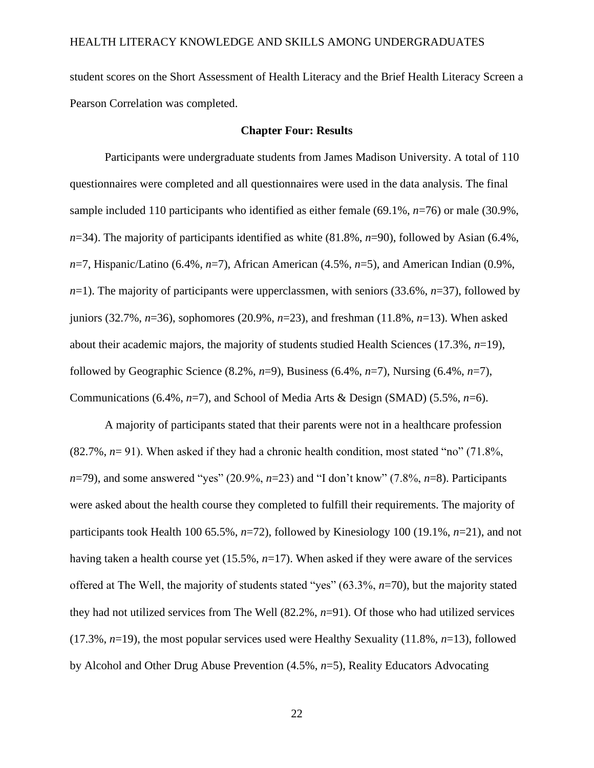student scores on the Short Assessment of Health Literacy and the Brief Health Literacy Screen a Pearson Correlation was completed.

#### **Chapter Four: Results**

Participants were undergraduate students from James Madison University. A total of 110 questionnaires were completed and all questionnaires were used in the data analysis. The final sample included 110 participants who identified as either female (69.1%, *n*=76) or male (30.9%, *n*=34). The majority of participants identified as white (81.8%, *n*=90), followed by Asian (6.4%, *n*=7, Hispanic/Latino (6.4%, *n*=7), African American (4.5%, *n*=5), and American Indian (0.9%,  $n=1$ ). The majority of participants were upperclassmen, with seniors (33.6%,  $n=37$ ), followed by juniors (32.7%, *n*=36), sophomores (20.9%, *n*=23), and freshman (11.8%, *n*=13). When asked about their academic majors, the majority of students studied Health Sciences (17.3%, *n*=19), followed by Geographic Science (8.2%, *n*=9), Business (6.4%, *n*=7), Nursing (6.4%, *n*=7), Communications (6.4%, *n*=7), and School of Media Arts & Design (SMAD) (5.5%, *n*=6).

A majority of participants stated that their parents were not in a healthcare profession (82.7%, *n*= 91). When asked if they had a chronic health condition, most stated "no" (71.8%, *n*=79), and some answered "yes" (20.9%, *n*=23) and "I don't know" (7.8%, *n*=8). Participants were asked about the health course they completed to fulfill their requirements. The majority of participants took Health 100 65.5%, *n*=72), followed by Kinesiology 100 (19.1%, *n*=21), and not having taken a health course yet (15.5%, *n*=17). When asked if they were aware of the services offered at The Well, the majority of students stated "yes" (63.3%, *n*=70), but the majority stated they had not utilized services from The Well (82.2%, *n*=91). Of those who had utilized services (17.3%, *n*=19), the most popular services used were Healthy Sexuality (11.8%, *n*=13), followed by Alcohol and Other Drug Abuse Prevention (4.5%, *n*=5), Reality Educators Advocating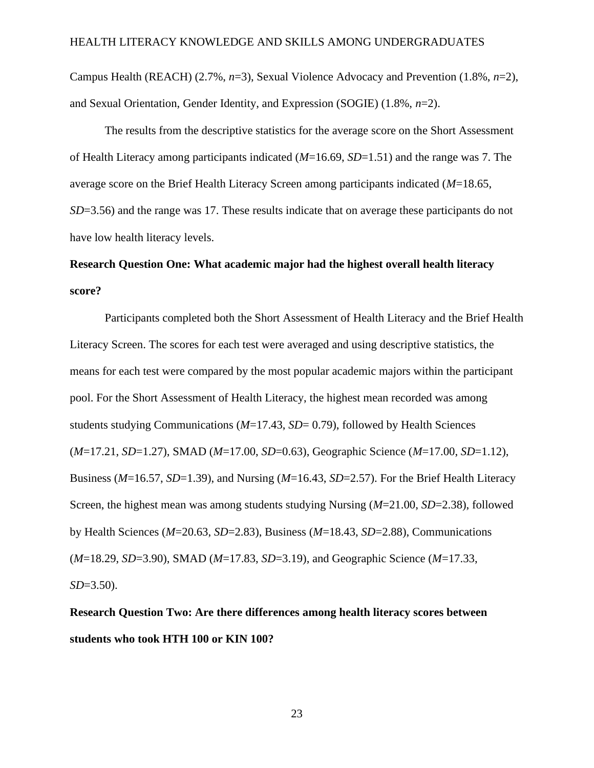Campus Health (REACH) (2.7%, *n*=3), Sexual Violence Advocacy and Prevention (1.8%, *n*=2), and Sexual Orientation, Gender Identity, and Expression (SOGIE) (1.8%, *n*=2).

The results from the descriptive statistics for the average score on the Short Assessment of Health Literacy among participants indicated (*M*=16.69, *SD*=1.51) and the range was 7. The average score on the Brief Health Literacy Screen among participants indicated (*M*=18.65, *SD*=3.56) and the range was 17. These results indicate that on average these participants do not have low health literacy levels.

# **Research Question One: What academic major had the highest overall health literacy score?**

Participants completed both the Short Assessment of Health Literacy and the Brief Health Literacy Screen. The scores for each test were averaged and using descriptive statistics, the means for each test were compared by the most popular academic majors within the participant pool. For the Short Assessment of Health Literacy, the highest mean recorded was among students studying Communications (*M*=17.43, *SD*= 0.79), followed by Health Sciences (*M*=17.21, *SD*=1.27), SMAD (*M*=17.00, *SD*=0.63), Geographic Science (*M*=17.00, *SD*=1.12), Business (*M*=16.57, *SD*=1.39), and Nursing (*M*=16.43, *SD*=2.57). For the Brief Health Literacy Screen, the highest mean was among students studying Nursing (*M*=21.00, *SD*=2.38), followed by Health Sciences (*M*=20.63, *SD*=2.83), Business (*M*=18.43, *SD*=2.88), Communications (*M*=18.29, *SD*=3.90), SMAD (*M*=17.83, *SD*=3.19), and Geographic Science (*M*=17.33, *SD*=3.50).

**Research Question Two: Are there differences among health literacy scores between students who took HTH 100 or KIN 100?**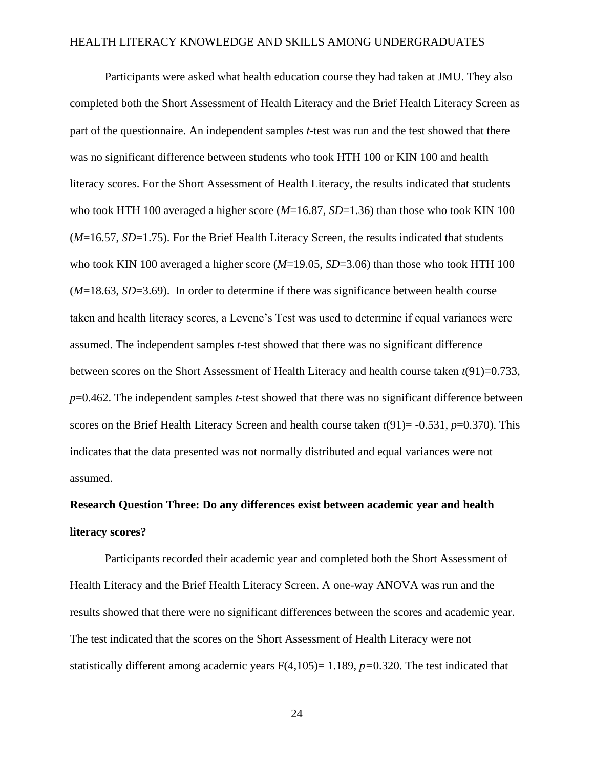Participants were asked what health education course they had taken at JMU. They also completed both the Short Assessment of Health Literacy and the Brief Health Literacy Screen as part of the questionnaire. An independent samples *t*-test was run and the test showed that there was no significant difference between students who took HTH 100 or KIN 100 and health literacy scores. For the Short Assessment of Health Literacy, the results indicated that students who took HTH 100 averaged a higher score (*M*=16.87, *SD*=1.36) than those who took KIN 100 (*M*=16.57, *SD*=1.75). For the Brief Health Literacy Screen, the results indicated that students who took KIN 100 averaged a higher score (*M*=19.05, *SD*=3.06) than those who took HTH 100 (*M*=18.63, *SD*=3.69). In order to determine if there was significance between health course taken and health literacy scores, a Levene's Test was used to determine if equal variances were assumed. The independent samples *t*-test showed that there was no significant difference between scores on the Short Assessment of Health Literacy and health course taken *t*(91)=0.733, *p*=0.462. The independent samples *t*-test showed that there was no significant difference between scores on the Brief Health Literacy Screen and health course taken *t*(91)= -0.531, *p*=0.370). This indicates that the data presented was not normally distributed and equal variances were not assumed.

# **Research Question Three: Do any differences exist between academic year and health literacy scores?**

Participants recorded their academic year and completed both the Short Assessment of Health Literacy and the Brief Health Literacy Screen. A one-way ANOVA was run and the results showed that there were no significant differences between the scores and academic year. The test indicated that the scores on the Short Assessment of Health Literacy were not statistically different among academic years F(4,105)= 1.189, *p=*0.320. The test indicated that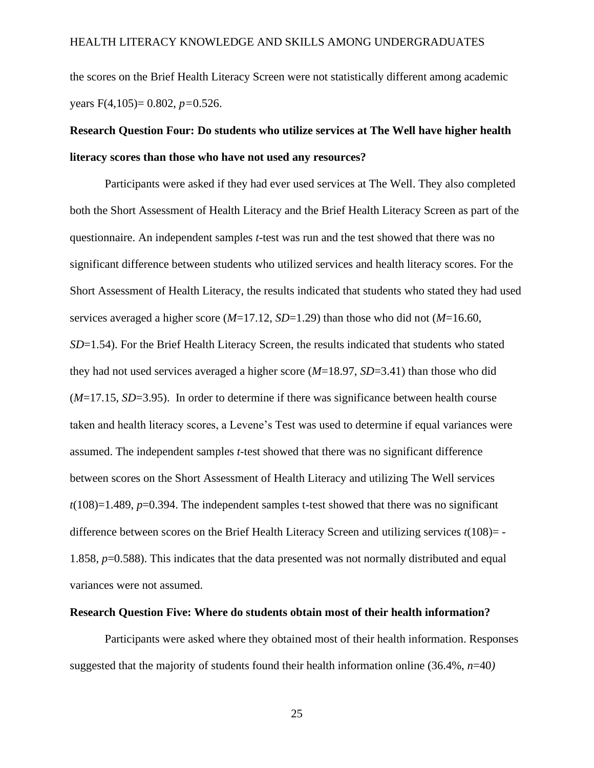the scores on the Brief Health Literacy Screen were not statistically different among academic years F(4,105)= 0.802, *p=*0.526.

# **Research Question Four: Do students who utilize services at The Well have higher health literacy scores than those who have not used any resources?**

Participants were asked if they had ever used services at The Well. They also completed both the Short Assessment of Health Literacy and the Brief Health Literacy Screen as part of the questionnaire. An independent samples *t*-test was run and the test showed that there was no significant difference between students who utilized services and health literacy scores. For the Short Assessment of Health Literacy, the results indicated that students who stated they had used services averaged a higher score (*M*=17.12, *SD*=1.29) than those who did not (*M*=16.60, *SD*=1.54). For the Brief Health Literacy Screen, the results indicated that students who stated they had not used services averaged a higher score (*M*=18.97, *SD*=3.41) than those who did (*M*=17.15, *SD*=3.95). In order to determine if there was significance between health course taken and health literacy scores, a Levene's Test was used to determine if equal variances were assumed. The independent samples *t*-test showed that there was no significant difference between scores on the Short Assessment of Health Literacy and utilizing The Well services  $t(108)=1.489$ ,  $p=0.394$ . The independent samples t-test showed that there was no significant difference between scores on the Brief Health Literacy Screen and utilizing services *t*(108)= - 1.858, *p*=0.588). This indicates that the data presented was not normally distributed and equal variances were not assumed.

#### **Research Question Five: Where do students obtain most of their health information?**

Participants were asked where they obtained most of their health information. Responses suggested that the majority of students found their health information online (36.4%, *n*=40*)*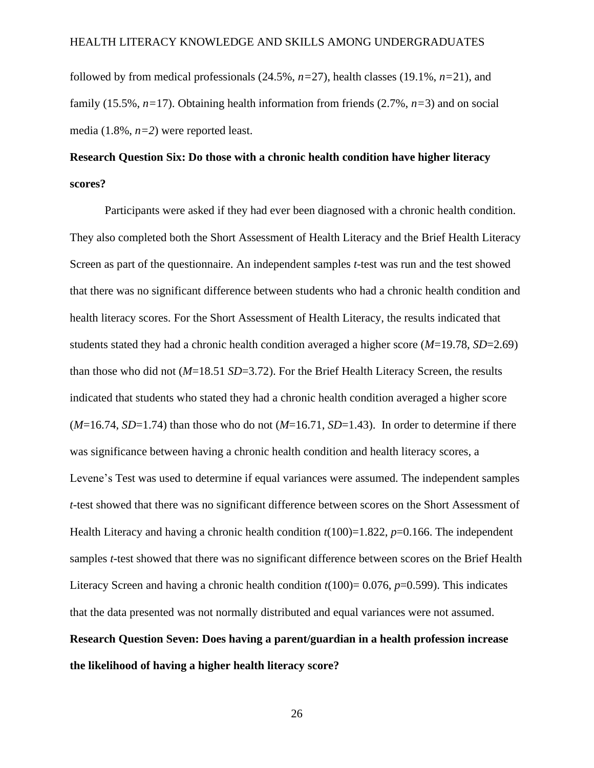followed by from medical professionals (24.5%, *n=*27), health classes (19.1%, *n=*21), and family (15.5%, *n=*17). Obtaining health information from friends (2.7%, *n=*3) and on social media (1.8%, *n=2*) were reported least.

# **Research Question Six: Do those with a chronic health condition have higher literacy scores?**

Participants were asked if they had ever been diagnosed with a chronic health condition. They also completed both the Short Assessment of Health Literacy and the Brief Health Literacy Screen as part of the questionnaire. An independent samples *t*-test was run and the test showed that there was no significant difference between students who had a chronic health condition and health literacy scores. For the Short Assessment of Health Literacy, the results indicated that students stated they had a chronic health condition averaged a higher score (*M*=19.78, *SD*=2.69) than those who did not (*M*=18.51 *SD*=3.72). For the Brief Health Literacy Screen, the results indicated that students who stated they had a chronic health condition averaged a higher score  $(M=16.74, SD=1.74)$  than those who do not  $(M=16.71, SD=1.43)$ . In order to determine if there was significance between having a chronic health condition and health literacy scores, a Levene's Test was used to determine if equal variances were assumed. The independent samples *t*-test showed that there was no significant difference between scores on the Short Assessment of Health Literacy and having a chronic health condition  $t(100)=1.822$ ,  $p=0.166$ . The independent samples *t*-test showed that there was no significant difference between scores on the Brief Health Literacy Screen and having a chronic health condition  $t(100) = 0.076$ ,  $p=0.599$ ). This indicates that the data presented was not normally distributed and equal variances were not assumed. **Research Question Seven: Does having a parent/guardian in a health profession increase the likelihood of having a higher health literacy score?**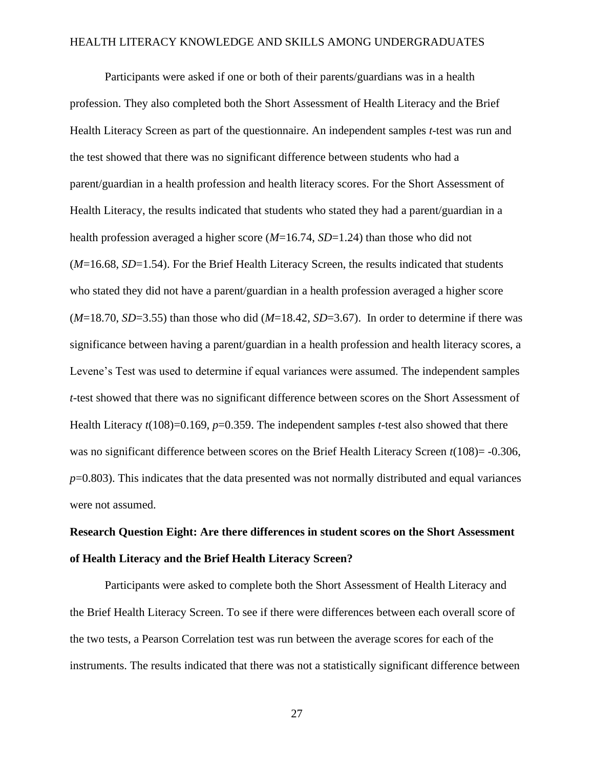Participants were asked if one or both of their parents/guardians was in a health profession. They also completed both the Short Assessment of Health Literacy and the Brief Health Literacy Screen as part of the questionnaire. An independent samples *t*-test was run and the test showed that there was no significant difference between students who had a parent/guardian in a health profession and health literacy scores. For the Short Assessment of Health Literacy, the results indicated that students who stated they had a parent/guardian in a health profession averaged a higher score (*M*=16.74, *SD*=1.24) than those who did not (*M*=16.68, *SD*=1.54). For the Brief Health Literacy Screen, the results indicated that students who stated they did not have a parent/guardian in a health profession averaged a higher score (*M*=18.70, *SD*=3.55) than those who did (*M*=18.42, *SD*=3.67). In order to determine if there was significance between having a parent/guardian in a health profession and health literacy scores, a Levene's Test was used to determine if equal variances were assumed. The independent samples *t*-test showed that there was no significant difference between scores on the Short Assessment of Health Literacy  $t(108)=0.169$ ,  $p=0.359$ . The independent samples *t*-test also showed that there was no significant difference between scores on the Brief Health Literacy Screen  $t(108) = -0.306$ , *p*=0.803). This indicates that the data presented was not normally distributed and equal variances were not assumed.

# **Research Question Eight: Are there differences in student scores on the Short Assessment of Health Literacy and the Brief Health Literacy Screen?**

Participants were asked to complete both the Short Assessment of Health Literacy and the Brief Health Literacy Screen. To see if there were differences between each overall score of the two tests, a Pearson Correlation test was run between the average scores for each of the instruments. The results indicated that there was not a statistically significant difference between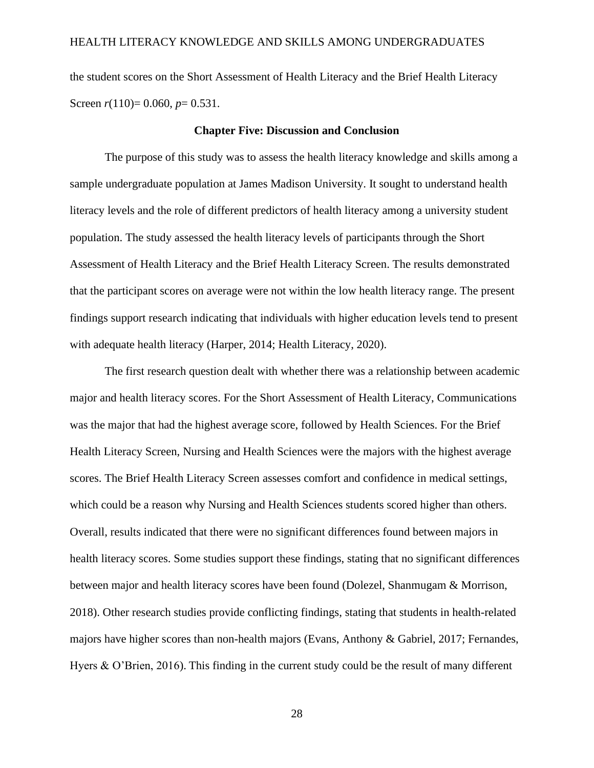the student scores on the Short Assessment of Health Literacy and the Brief Health Literacy Screen *r*(110)= 0.060, *p*= 0.531.

#### **Chapter Five: Discussion and Conclusion**

The purpose of this study was to assess the health literacy knowledge and skills among a sample undergraduate population at James Madison University. It sought to understand health literacy levels and the role of different predictors of health literacy among a university student population. The study assessed the health literacy levels of participants through the Short Assessment of Health Literacy and the Brief Health Literacy Screen. The results demonstrated that the participant scores on average were not within the low health literacy range. The present findings support research indicating that individuals with higher education levels tend to present with adequate health literacy (Harper, 2014; Health Literacy, 2020).

The first research question dealt with whether there was a relationship between academic major and health literacy scores. For the Short Assessment of Health Literacy, Communications was the major that had the highest average score, followed by Health Sciences. For the Brief Health Literacy Screen, Nursing and Health Sciences were the majors with the highest average scores. The Brief Health Literacy Screen assesses comfort and confidence in medical settings, which could be a reason why Nursing and Health Sciences students scored higher than others. Overall, results indicated that there were no significant differences found between majors in health literacy scores. Some studies support these findings, stating that no significant differences between major and health literacy scores have been found (Dolezel, Shanmugam & Morrison, 2018). Other research studies provide conflicting findings, stating that students in health-related majors have higher scores than non-health majors (Evans, Anthony & Gabriel, 2017; Fernandes, Hyers & O'Brien, 2016). This finding in the current study could be the result of many different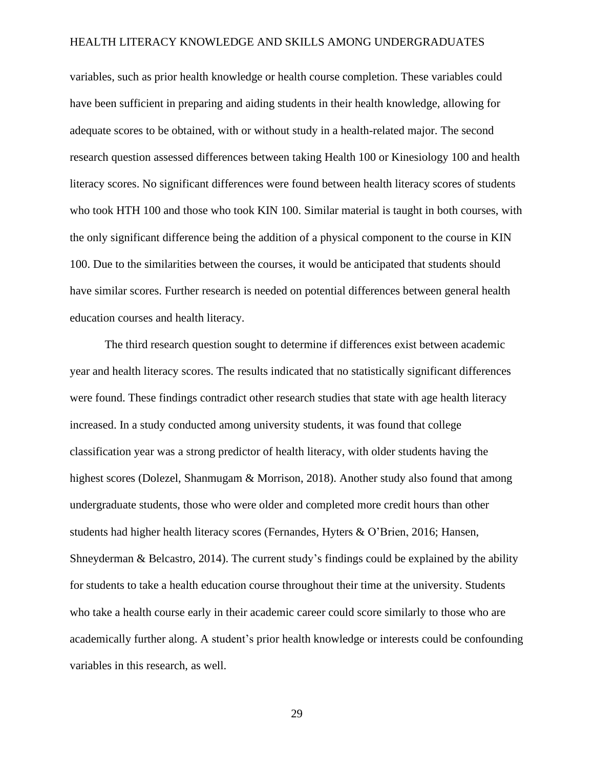variables, such as prior health knowledge or health course completion. These variables could have been sufficient in preparing and aiding students in their health knowledge, allowing for adequate scores to be obtained, with or without study in a health-related major. The second research question assessed differences between taking Health 100 or Kinesiology 100 and health literacy scores. No significant differences were found between health literacy scores of students who took HTH 100 and those who took KIN 100. Similar material is taught in both courses, with the only significant difference being the addition of a physical component to the course in KIN 100. Due to the similarities between the courses, it would be anticipated that students should have similar scores. Further research is needed on potential differences between general health education courses and health literacy.

The third research question sought to determine if differences exist between academic year and health literacy scores. The results indicated that no statistically significant differences were found. These findings contradict other research studies that state with age health literacy increased. In a study conducted among university students, it was found that college classification year was a strong predictor of health literacy, with older students having the highest scores (Dolezel, Shanmugam & Morrison, 2018). Another study also found that among undergraduate students, those who were older and completed more credit hours than other students had higher health literacy scores (Fernandes, Hyters & O'Brien, 2016; Hansen, Shneyderman  $\&$  Belcastro, 2014). The current study's findings could be explained by the ability for students to take a health education course throughout their time at the university. Students who take a health course early in their academic career could score similarly to those who are academically further along. A student's prior health knowledge or interests could be confounding variables in this research, as well.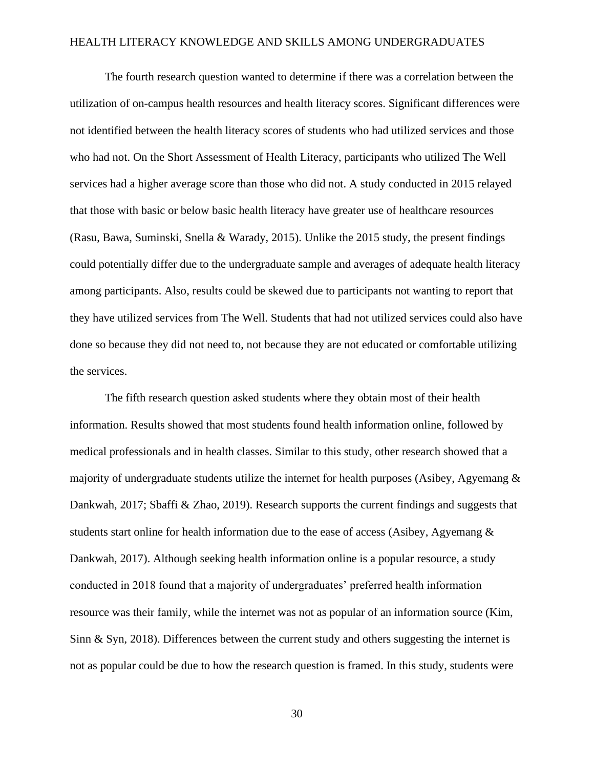The fourth research question wanted to determine if there was a correlation between the utilization of on-campus health resources and health literacy scores. Significant differences were not identified between the health literacy scores of students who had utilized services and those who had not. On the Short Assessment of Health Literacy, participants who utilized The Well services had a higher average score than those who did not. A study conducted in 2015 relayed that those with basic or below basic health literacy have greater use of healthcare resources (Rasu, Bawa, Suminski, Snella & Warady, 2015). Unlike the 2015 study, the present findings could potentially differ due to the undergraduate sample and averages of adequate health literacy among participants. Also, results could be skewed due to participants not wanting to report that they have utilized services from The Well. Students that had not utilized services could also have done so because they did not need to, not because they are not educated or comfortable utilizing the services.

The fifth research question asked students where they obtain most of their health information. Results showed that most students found health information online, followed by medical professionals and in health classes. Similar to this study, other research showed that a majority of undergraduate students utilize the internet for health purposes (Asibey, Agyemang & Dankwah, 2017; Sbaffi & Zhao, 2019). Research supports the current findings and suggests that students start online for health information due to the ease of access (Asibey, Agyemang & Dankwah, 2017). Although seeking health information online is a popular resource, a study conducted in 2018 found that a majority of undergraduates' preferred health information resource was their family, while the internet was not as popular of an information source (Kim, Sinn & Syn, 2018). Differences between the current study and others suggesting the internet is not as popular could be due to how the research question is framed. In this study, students were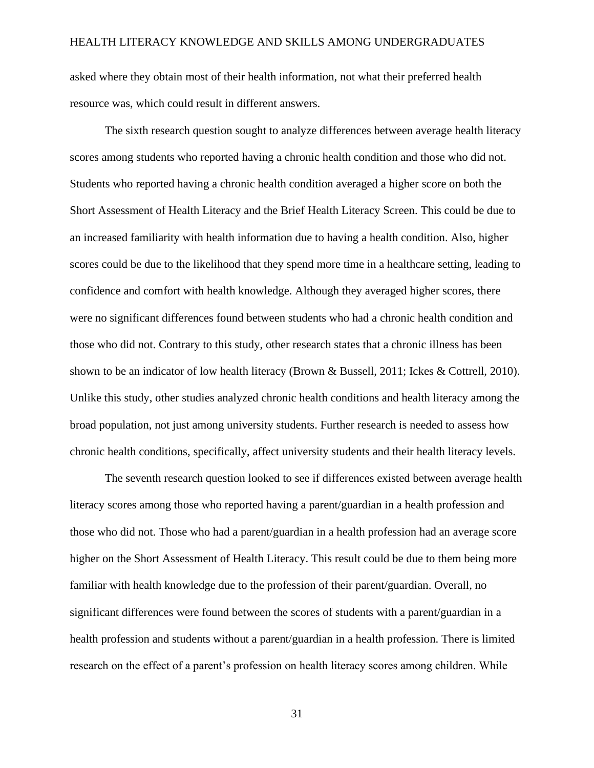asked where they obtain most of their health information, not what their preferred health resource was, which could result in different answers.

The sixth research question sought to analyze differences between average health literacy scores among students who reported having a chronic health condition and those who did not. Students who reported having a chronic health condition averaged a higher score on both the Short Assessment of Health Literacy and the Brief Health Literacy Screen. This could be due to an increased familiarity with health information due to having a health condition. Also, higher scores could be due to the likelihood that they spend more time in a healthcare setting, leading to confidence and comfort with health knowledge. Although they averaged higher scores, there were no significant differences found between students who had a chronic health condition and those who did not. Contrary to this study, other research states that a chronic illness has been shown to be an indicator of low health literacy (Brown & Bussell, 2011; Ickes & Cottrell, 2010). Unlike this study, other studies analyzed chronic health conditions and health literacy among the broad population, not just among university students. Further research is needed to assess how chronic health conditions, specifically, affect university students and their health literacy levels.

The seventh research question looked to see if differences existed between average health literacy scores among those who reported having a parent/guardian in a health profession and those who did not. Those who had a parent/guardian in a health profession had an average score higher on the Short Assessment of Health Literacy. This result could be due to them being more familiar with health knowledge due to the profession of their parent/guardian. Overall, no significant differences were found between the scores of students with a parent/guardian in a health profession and students without a parent/guardian in a health profession. There is limited research on the effect of a parent's profession on health literacy scores among children. While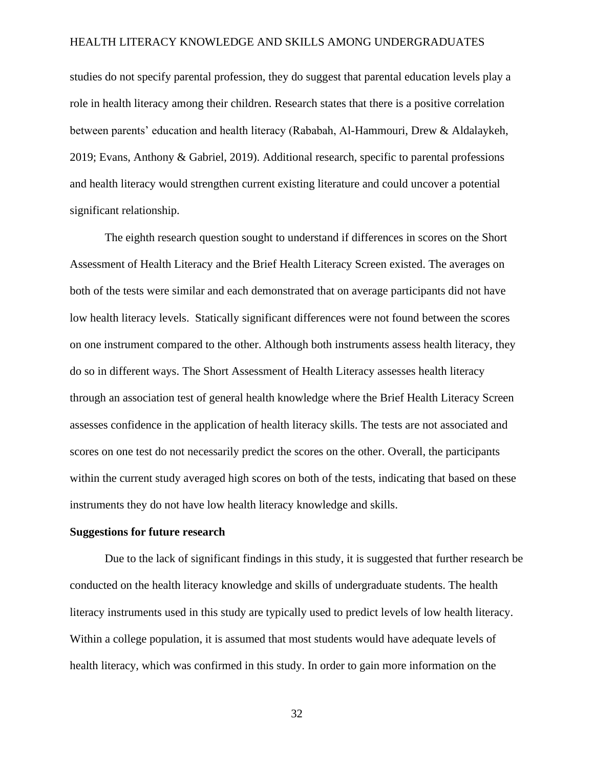studies do not specify parental profession, they do suggest that parental education levels play a role in health literacy among their children. Research states that there is a positive correlation between parents' education and health literacy (Rababah, Al-Hammouri, Drew & Aldalaykeh, 2019; Evans, Anthony & Gabriel, 2019). Additional research, specific to parental professions and health literacy would strengthen current existing literature and could uncover a potential significant relationship.

The eighth research question sought to understand if differences in scores on the Short Assessment of Health Literacy and the Brief Health Literacy Screen existed. The averages on both of the tests were similar and each demonstrated that on average participants did not have low health literacy levels. Statically significant differences were not found between the scores on one instrument compared to the other. Although both instruments assess health literacy, they do so in different ways. The Short Assessment of Health Literacy assesses health literacy through an association test of general health knowledge where the Brief Health Literacy Screen assesses confidence in the application of health literacy skills. The tests are not associated and scores on one test do not necessarily predict the scores on the other. Overall, the participants within the current study averaged high scores on both of the tests, indicating that based on these instruments they do not have low health literacy knowledge and skills.

#### **Suggestions for future research**

Due to the lack of significant findings in this study, it is suggested that further research be conducted on the health literacy knowledge and skills of undergraduate students. The health literacy instruments used in this study are typically used to predict levels of low health literacy. Within a college population, it is assumed that most students would have adequate levels of health literacy, which was confirmed in this study. In order to gain more information on the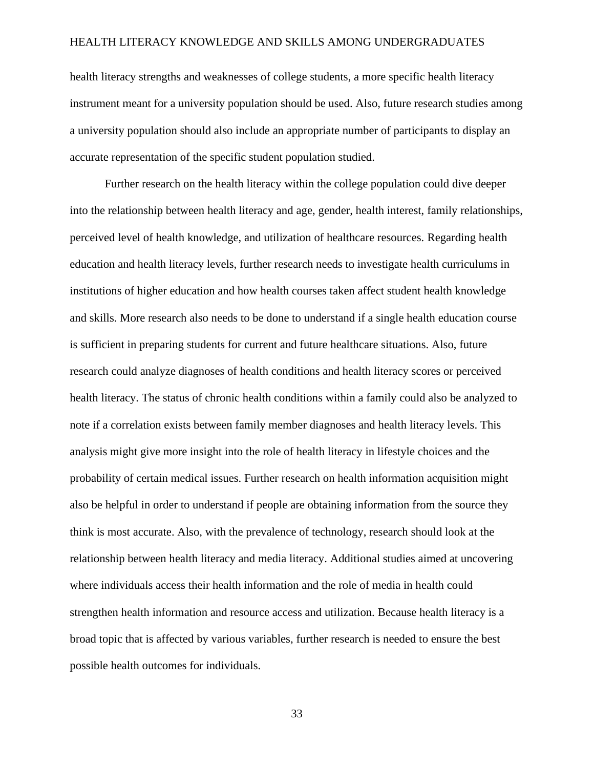health literacy strengths and weaknesses of college students, a more specific health literacy instrument meant for a university population should be used. Also, future research studies among a university population should also include an appropriate number of participants to display an accurate representation of the specific student population studied.

Further research on the health literacy within the college population could dive deeper into the relationship between health literacy and age, gender, health interest, family relationships, perceived level of health knowledge, and utilization of healthcare resources. Regarding health education and health literacy levels, further research needs to investigate health curriculums in institutions of higher education and how health courses taken affect student health knowledge and skills. More research also needs to be done to understand if a single health education course is sufficient in preparing students for current and future healthcare situations. Also, future research could analyze diagnoses of health conditions and health literacy scores or perceived health literacy. The status of chronic health conditions within a family could also be analyzed to note if a correlation exists between family member diagnoses and health literacy levels. This analysis might give more insight into the role of health literacy in lifestyle choices and the probability of certain medical issues. Further research on health information acquisition might also be helpful in order to understand if people are obtaining information from the source they think is most accurate. Also, with the prevalence of technology, research should look at the relationship between health literacy and media literacy. Additional studies aimed at uncovering where individuals access their health information and the role of media in health could strengthen health information and resource access and utilization. Because health literacy is a broad topic that is affected by various variables, further research is needed to ensure the best possible health outcomes for individuals.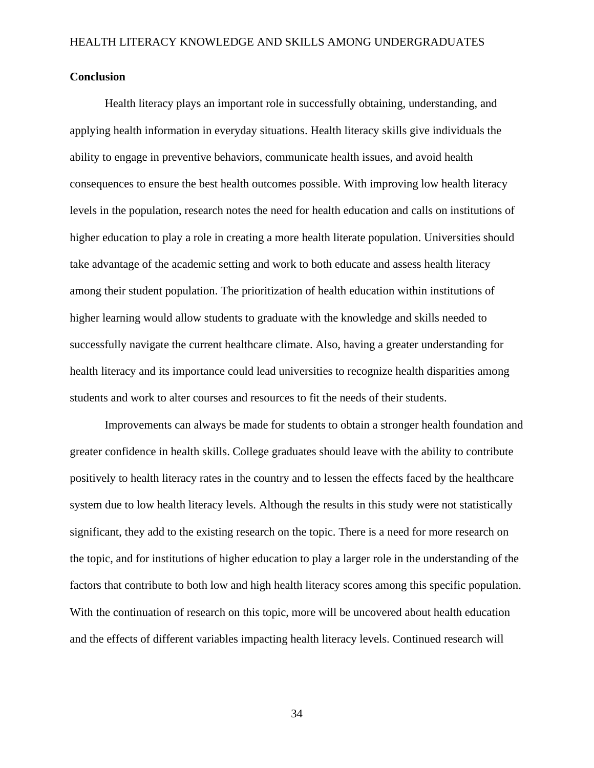### **Conclusion**

Health literacy plays an important role in successfully obtaining, understanding, and applying health information in everyday situations. Health literacy skills give individuals the ability to engage in preventive behaviors, communicate health issues, and avoid health consequences to ensure the best health outcomes possible. With improving low health literacy levels in the population, research notes the need for health education and calls on institutions of higher education to play a role in creating a more health literate population. Universities should take advantage of the academic setting and work to both educate and assess health literacy among their student population. The prioritization of health education within institutions of higher learning would allow students to graduate with the knowledge and skills needed to successfully navigate the current healthcare climate. Also, having a greater understanding for health literacy and its importance could lead universities to recognize health disparities among students and work to alter courses and resources to fit the needs of their students.

Improvements can always be made for students to obtain a stronger health foundation and greater confidence in health skills. College graduates should leave with the ability to contribute positively to health literacy rates in the country and to lessen the effects faced by the healthcare system due to low health literacy levels. Although the results in this study were not statistically significant, they add to the existing research on the topic. There is a need for more research on the topic, and for institutions of higher education to play a larger role in the understanding of the factors that contribute to both low and high health literacy scores among this specific population. With the continuation of research on this topic, more will be uncovered about health education and the effects of different variables impacting health literacy levels. Continued research will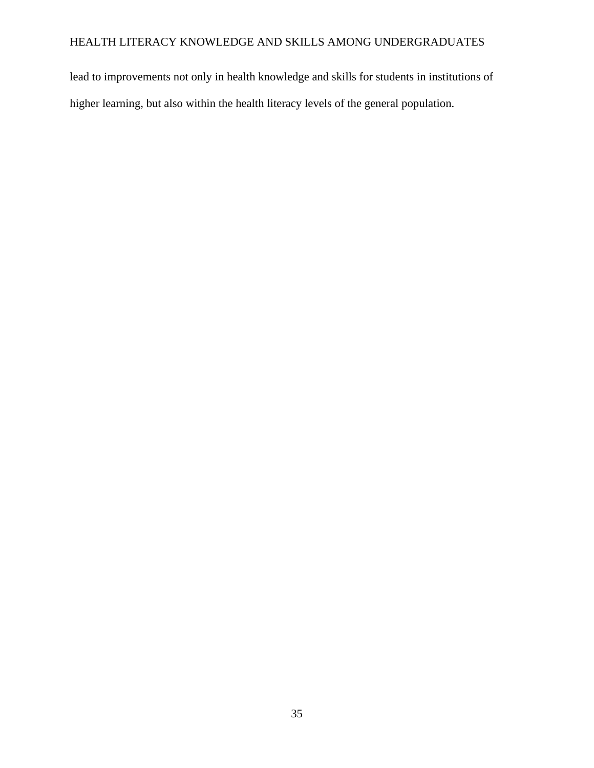lead to improvements not only in health knowledge and skills for students in institutions of higher learning, but also within the health literacy levels of the general population.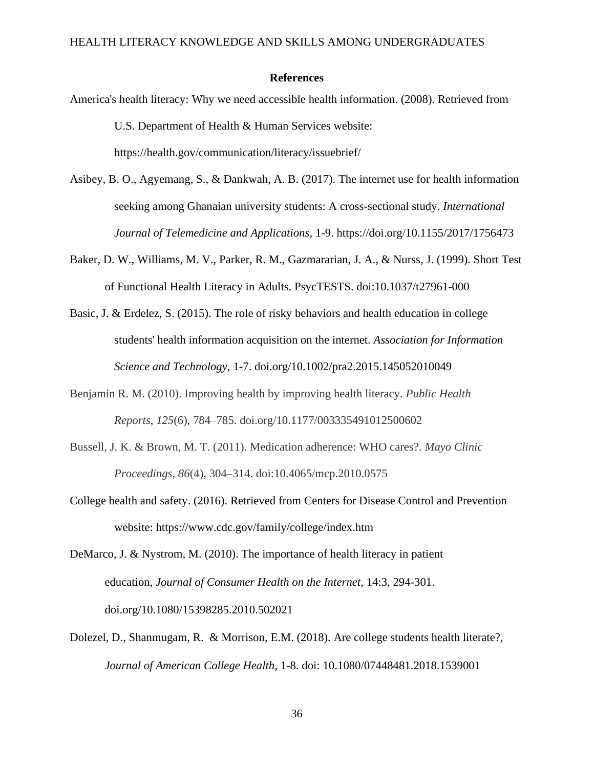#### **References**

- America's health literacy: Why we need accessible health information. (2008). Retrieved from U.S. Department of Health & Human Services website: https://health.gov/communication/literacy/issuebrief/
- Asibey, B. O., Agyemang, S., & Dankwah, A. B. (2017). The internet use for health information seeking among Ghanaian university students: A cross-sectional study. *International Journal of Telemedicine and Applications*, 1-9. https://doi.org/10.1155/2017/1756473
- Baker, D. W., Williams, M. V., Parker, R. M., Gazmararian, J. A., & Nurss, J. (1999). Short Test of Functional Health Literacy in Adults. PsycTESTS. doi:10.1037/t27961-000
- Basic, J. & Erdelez, S. (2015). The role of risky behaviors and health education in college students' health information acquisition on the internet. *Association for Information Science and Technology*, 1-7. doi.org/10.1002/pra2.2015.145052010049
- Benjamin R. M. (2010). Improving health by improving health literacy. *Public Health Reports*, *125*(6), 784–785. doi.org/10.1177/003335491012500602
- Bussell, J. K. & Brown, M. T. (2011). Medication adherence: WHO cares?. *Mayo Clinic Proceedings*, *86*(4), 304–314. doi:10.4065/mcp.2010.0575
- College health and safety. (2016). Retrieved from Centers for Disease Control and Prevention website: https://www.cdc.gov/family/college/index.htm
- DeMarco, J. & Nystrom, M. (2010). The importance of health literacy in patient education, *Journal of Consumer Health on the Internet*, 14:3, 294-301. doi.org/10.1080/15398285.2010.502021
- Dolezel, D., Shanmugam, R. & Morrison, E.M. (2018). Are college students health literate?, *Journal of American College Health,* 1-8. doi: 10.1080/07448481.2018.1539001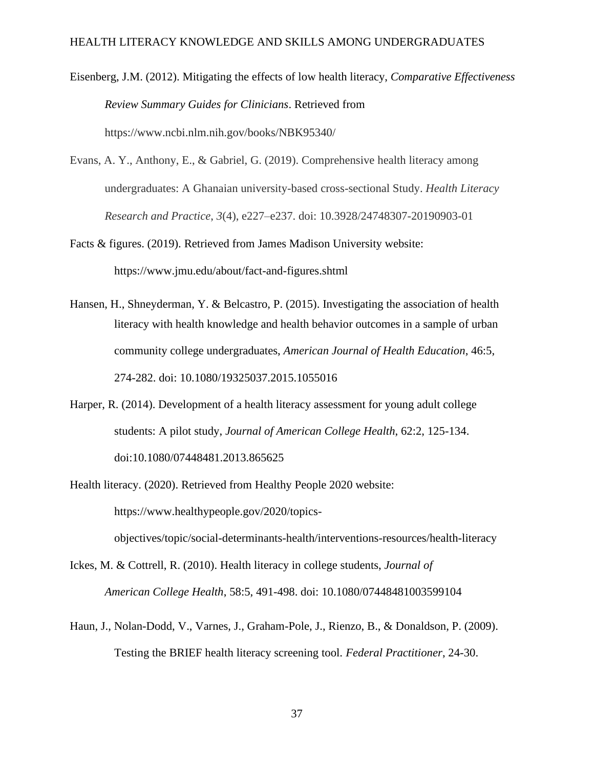Eisenberg, J.M. (2012). Mitigating the effects of low health literacy, *Comparative Effectiveness Review Summary Guides for Clinicians*. Retrieved from https://www.ncbi.nlm.nih.gov/books/NBK95340/

- Evans, A. Y., Anthony, E., & Gabriel, G. (2019). Comprehensive health literacy among undergraduates: A Ghanaian university-based cross-sectional Study. *Health Literacy Research and Practice*, *3*(4), e227–e237. doi: 10.3928/24748307-20190903-01
- Facts & figures. (2019). Retrieved from James Madison University website: https://www.jmu.edu/about/fact-and-figures.shtml
- Hansen, H., Shneyderman, Y. & Belcastro, P. (2015). Investigating the association of health literacy with health knowledge and health behavior outcomes in a sample of urban community college undergraduates, *American Journal of Health Education*, 46:5, 274-282. doi: 10.1080/19325037.2015.1055016
- Harper, R. (2014). Development of a health literacy assessment for young adult college students: A pilot study, *Journal of American College Health*, 62:2, 125-134. doi:10.1080/07448481.2013.865625
- Health literacy. (2020). Retrieved from Healthy People 2020 website: https://www.healthypeople.gov/2020/topicsobjectives/topic/social-determinants-health/interventions-resources/health-literacy
- Ickes, M. & Cottrell, R. (2010). Health literacy in college students, *Journal of American College Health*, 58:5, 491-498. doi: 10.1080/07448481003599104
- Haun, J., Nolan-Dodd, V., Varnes, J., Graham-Pole, J., Rienzo, B., & Donaldson, P. (2009). Testing the BRIEF health literacy screening tool. *Federal Practitioner*, 24-30.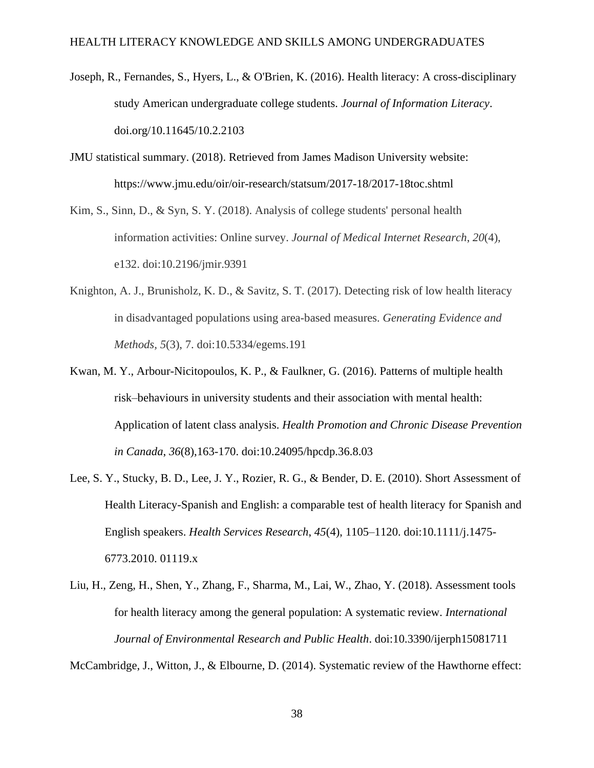- Joseph, R., Fernandes, S., Hyers, L., & O'Brien, K. (2016). Health literacy: A cross-disciplinary study American undergraduate college students. *Journal of Information Literacy*. doi.org/10.11645/10.2.2103
- JMU statistical summary. (2018). Retrieved from James Madison University website: https://www.jmu.edu/oir/oir-research/statsum/2017-18/2017-18toc.shtml
- Kim, S., Sinn, D., & Syn, S. Y. (2018). Analysis of college students' personal health information activities: Online survey. *Journal of Medical Internet Research*, *20*(4), e132. doi:10.2196/jmir.9391
- Knighton, A. J., Brunisholz, K. D., & Savitz, S. T. (2017). Detecting risk of low health literacy in disadvantaged populations using area-based measures. *Generating Evidence and Methods, 5*(3), 7. doi:10.5334/egems.191
- Kwan, M. Y., Arbour-Nicitopoulos, K. P., & Faulkner, G. (2016). Patterns of multiple health risk–behaviours in university students and their association with mental health: Application of latent class analysis. *Health Promotion and Chronic Disease Prevention in Canada*, *36*(8),163-170. doi:10.24095/hpcdp.36.8.03
- Lee, S. Y., Stucky, B. D., Lee, J. Y., Rozier, R. G., & Bender, D. E. (2010). Short Assessment of Health Literacy-Spanish and English: a comparable test of health literacy for Spanish and English speakers. *Health Services Research*, *45*(4), 1105–1120. doi:10.1111/j.1475- 6773.2010. 01119.x
- Liu, H., Zeng, H., Shen, Y., Zhang, F., Sharma, M., Lai, W., Zhao, Y. (2018). Assessment tools for health literacy among the general population: A systematic review. *International Journal of Environmental Research and Public Health*. doi:10.3390/ijerph15081711

McCambridge, J., Witton, J., & Elbourne, D. (2014). Systematic review of the Hawthorne effect: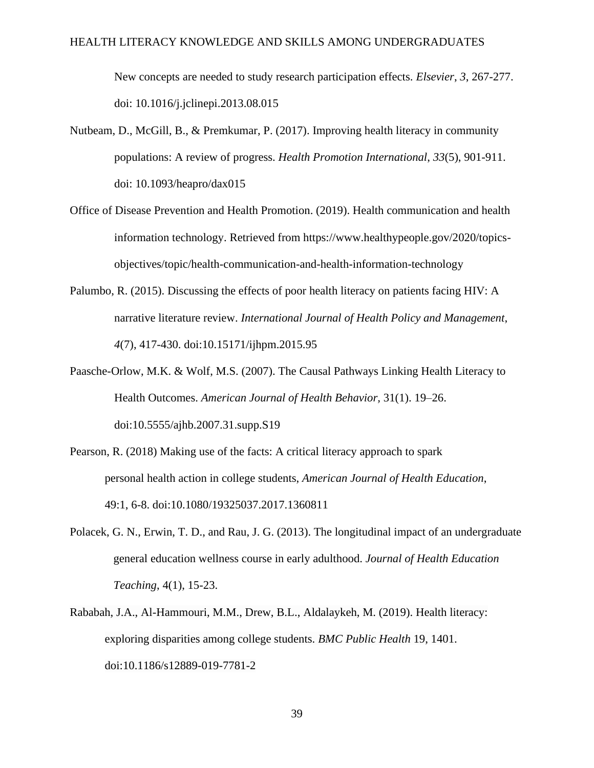New concepts are needed to study research participation effects. *Elsevier*, *3*, 267-277. doi: 10.1016/j.jclinepi.2013.08.015

- Nutbeam, D., McGill, B., & Premkumar, P. (2017). Improving health literacy in community populations: A review of progress. *Health Promotion International*, *33*(5), 901-911. doi: 10.1093/heapro/dax015
- Office of Disease Prevention and Health Promotion. (2019). Health communication and health information technology. Retrieved from https://www.healthypeople.gov/2020/topicsobjectives/topic/health-communication-and-health-information-technology
- Palumbo, R. (2015). Discussing the effects of poor health literacy on patients facing HIV: A narrative literature review. *International Journal of Health Policy and Management*, *4*(7), 417-430. doi:10.15171/ijhpm.2015.95
- Paasche-Orlow, M.K. & Wolf, M.S. (2007). The Causal Pathways Linking Health Literacy to Health Outcomes. *American Journal of Health Behavior,* 31(1). 19–26. doi[:10.5555/ajhb.2007.31.supp.S19](https://doi.org/10.5555/ajhb.2007.31.supp.S19)
- Pearson, R. (2018) Making use of the facts: A critical literacy approach to spark personal health action in college students, *American Journal of Health Education*, 49:1, 6-8. doi:10.1080/19325037.2017.1360811
- Polacek, G. N., Erwin, T. D., and Rau, J. G. (2013). The longitudinal impact of an undergraduate general education wellness course in early adulthood. *Journal of Health Education Teaching*, 4(1), 15-23.
- Rababah, J.A., Al-Hammouri, M.M., Drew, B.L., Aldalaykeh, M. (2019). Health literacy: exploring disparities among college students. *BMC Public Health* 19, 1401. doi:10.1186/s12889-019-7781-2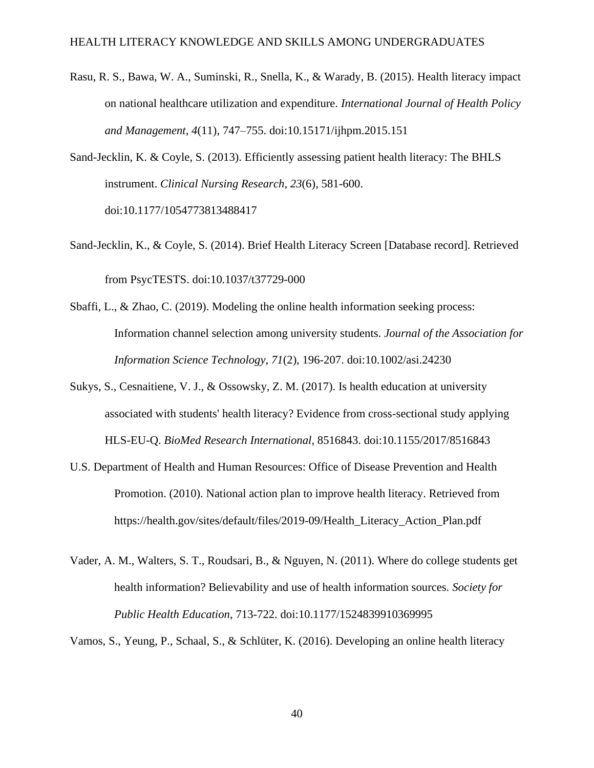- Rasu, R. S., Bawa, W. A., Suminski, R., Snella, K., & Warady, B. (2015). Health literacy impact on national healthcare utilization and expenditure. *International Journal of Health Policy and Management*, *4*(11), 747–755. doi:10.15171/ijhpm.2015.151
- Sand-Jecklin, K. & Coyle, S. (2013). Efficiently assessing patient health literacy: The BHLS instrument. *Clinical Nursing Research*, *23*(6), 581-600. doi:10.1177/1054773813488417
- Sand-Jecklin, K., & Coyle, S. (2014). Brief Health Literacy Screen [Database record]. Retrieved from PsycTESTS. doi:10.1037/t37729-000
- Sbaffi, L., & Zhao, C. (2019). Modeling the online health information seeking process: Information channel selection among university students. *Journal of the Association for Information Science Technology*, *71*(2), 196-207. doi:10.1002/asi.24230
- Sukys, S., Cesnaitiene, V. J., & Ossowsky, Z. M. (2017). Is health education at university associated with students' health literacy? Evidence from cross-sectional study applying HLS-EU-Q. *BioMed Research International*, 8516843. doi:10.1155/2017/8516843
- U.S. Department of Health and Human Resources: Office of Disease Prevention and Health Promotion. (2010). National action plan to improve health literacy. Retrieved from https://health.gov/sites/default/files/2019-09/Health\_Literacy\_Action\_Plan.pdf
- Vader, A. M., Walters, S. T., Roudsari, B., & Nguyen, N. (2011). Where do college students get health information? Believability and use of health information sources. *Society for Public Health Education*, 713-722. doi:10.1177/1524839910369995

Vamos, S., Yeung, P., Schaal, S., & Schlüter, K. (2016). Developing an online health literacy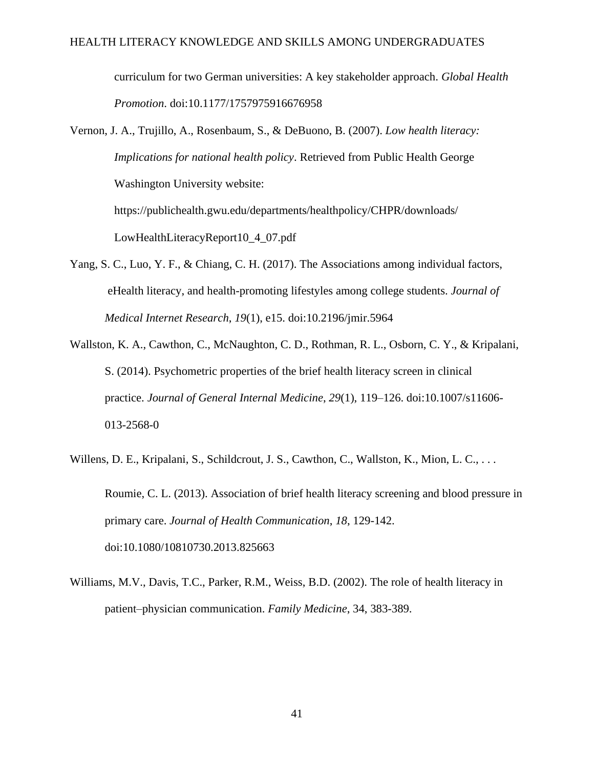curriculum for two German universities: A key stakeholder approach. *Global Health Promotion*. doi:10.1177/1757975916676958

Vernon, J. A., Trujillo, A., Rosenbaum, S., & DeBuono, B. (2007). *Low health literacy: Implications for national health policy*. Retrieved from Public Health George Washington University website: https://publichealth.gwu.edu/departments/healthpolicy/CHPR/downloads/ LowHealthLiteracyReport10\_4\_07.pdf

- Yang, S. C., Luo, Y. F., & Chiang, C. H. (2017). The Associations among individual factors, eHealth literacy, and health-promoting lifestyles among college students. *Journal of Medical Internet Research*, *19*(1), e15. doi:10.2196/jmir.5964
- Wallston, K. A., Cawthon, C., McNaughton, C. D., Rothman, R. L., Osborn, C. Y., & Kripalani, S. (2014). Psychometric properties of the brief health literacy screen in clinical practice. *Journal of General Internal Medicine*, *29*(1), 119–126. doi:10.1007/s11606- 013-2568-0
- Willens, D. E., Kripalani, S., Schildcrout, J. S., Cawthon, C., Wallston, K., Mion, L. C., ... Roumie, C. L. (2013). Association of brief health literacy screening and blood pressure in primary care. *Journal of Health Communication*, *18*, 129-142. doi:10.1080/10810730.2013.825663
- Williams, M.V., Davis, T.C., Parker, R.M., Weiss, B.D. (2002). The role of health literacy in patient–physician communication. *Family Medicine*, 34, 383-389.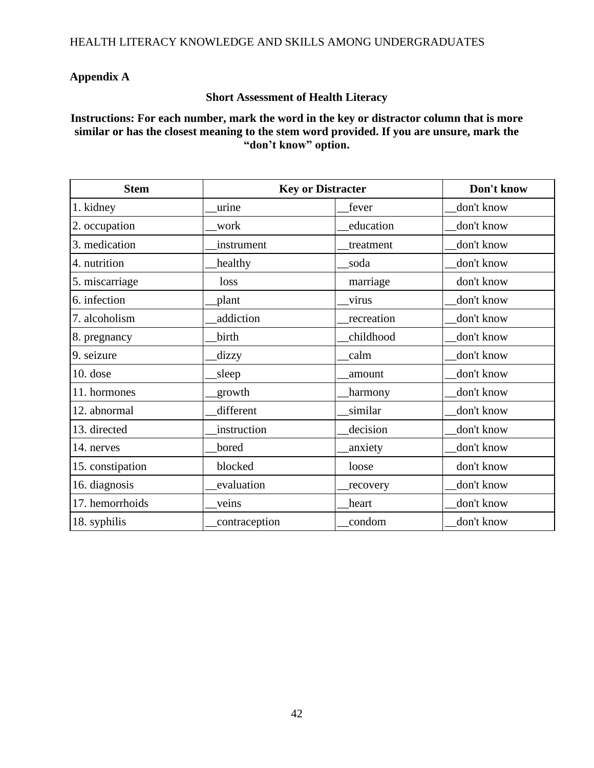# **Appendix A**

## **Short Assessment of Health Literacy**

**Instructions: For each number, mark the word in the key or distractor column that is more similar or has the closest meaning to the stem word provided. If you are unsure, mark the "don't know" option.**

| <b>Stem</b>      | <b>Key or Distracter</b> |            | Don't know |
|------------------|--------------------------|------------|------------|
| 1. kidney        | urine                    | fever      | don't know |
| 2. occupation    | work                     | education  | don't know |
| 3. medication    | instrument               | treatment  | don't know |
| 4. nutrition     | healthy                  | soda       | don't know |
| 5. miscarriage   | loss                     | marriage   | don't know |
| 6. infection     | plant                    | virus      | don't know |
| 7. alcoholism    | addiction                | recreation | don't know |
| 8. pregnancy     | birth                    | childhood  | don't know |
| 9. seizure       | dizzy                    | calm       | don't know |
| $10.$ dose       | sleep                    | amount     | don't know |
| 11. hormones     | growth                   | harmony    | don't know |
| 12. abnormal     | different                | similar    | don't know |
| 13. directed     | instruction              | decision   | don't know |
| 14. nerves       | bored                    | anxiety    | don't know |
| 15. constipation | blocked                  | loose      | don't know |
| 16. diagnosis    | evaluation               | recovery   | don't know |
| 17. hemorrhoids  | veins                    | heart      | don't know |
| 18. syphilis     | contraception            | condom     | don't know |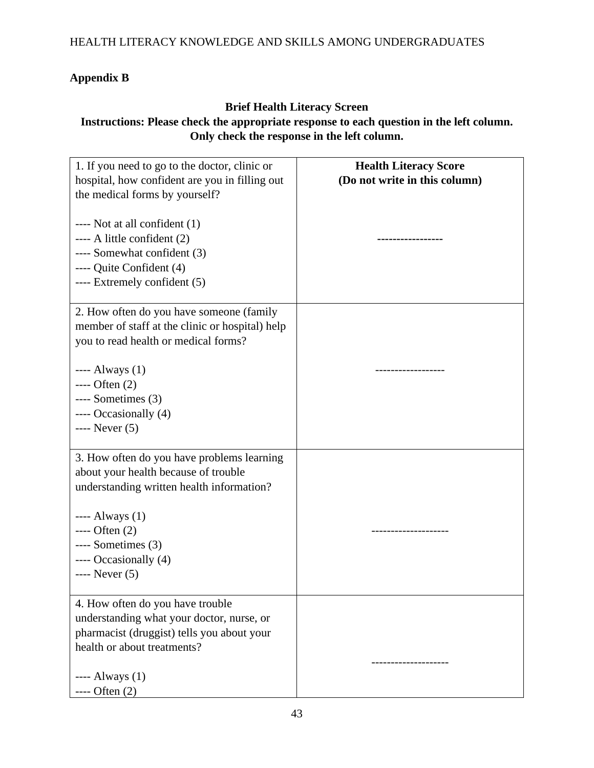# **Appendix B**

# **Brief Health Literacy Screen**

# **Instructions: Please check the appropriate response to each question in the left column. Only check the response in the left column.**

| 1. If you need to go to the doctor, clinic or<br>hospital, how confident are you in filling out<br>the medical forms by yourself?                                                                                                                 | <b>Health Literacy Score</b><br>(Do not write in this column) |
|---------------------------------------------------------------------------------------------------------------------------------------------------------------------------------------------------------------------------------------------------|---------------------------------------------------------------|
| $---$ Not at all confident $(1)$<br>$--- A$ little confident $(2)$<br>---- Somewhat confident (3)<br>---- Quite Confident (4)<br>---- Extremely confident (5)                                                                                     |                                                               |
| 2. How often do you have someone (family<br>member of staff at the clinic or hospital) help<br>you to read health or medical forms?                                                                                                               |                                                               |
| $---$ Always $(1)$<br>$---$ Often $(2)$<br>$---$ Sometimes $(3)$<br>---- Occasionally (4)<br>$---$ Never $(5)$                                                                                                                                    | -------------                                                 |
| 3. How often do you have problems learning<br>about your health because of trouble<br>understanding written health information?<br>$---$ Always $(1)$<br>$---$ Often $(2)$<br>$---$ Sometimes $(3)$<br>---- Occasionally (4)<br>$---$ Never $(5)$ |                                                               |
| 4. How often do you have trouble<br>understanding what your doctor, nurse, or<br>pharmacist (druggist) tells you about your<br>health or about treatments?<br>$---$ Always $(1)$<br>$---$ Often $(2)$                                             |                                                               |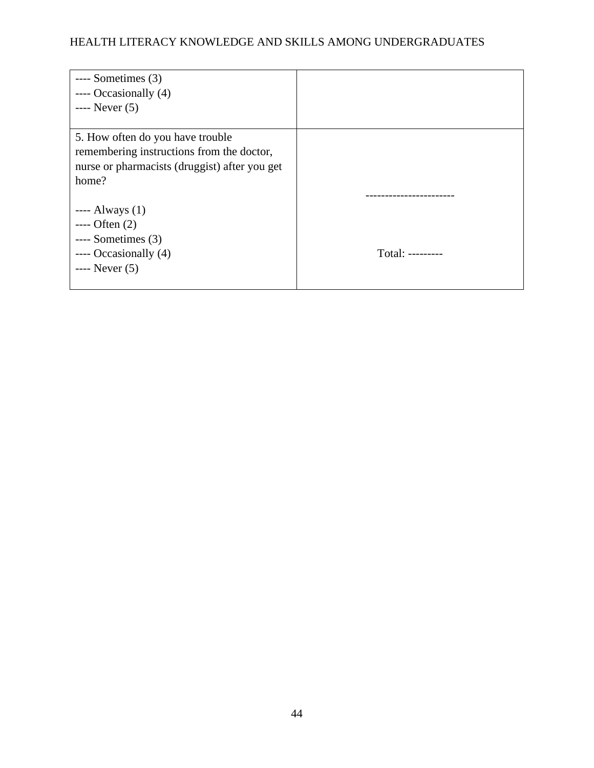| $---$ Sometimes $(3)$<br>$---$ Occasionally $(4)$<br>$---$ Never $(5)$                                                                  |                  |
|-----------------------------------------------------------------------------------------------------------------------------------------|------------------|
| 5. How often do you have trouble<br>remembering instructions from the doctor,<br>nurse or pharmacists (druggist) after you get<br>home? |                  |
|                                                                                                                                         |                  |
| $---$ Always $(1)$                                                                                                                      |                  |
| $---$ Often $(2)$                                                                                                                       |                  |
| $---$ Sometimes $(3)$                                                                                                                   |                  |
| $---$ Occasionally $(4)$                                                                                                                | Total: --------- |
| $---$ Never $(5)$                                                                                                                       |                  |
|                                                                                                                                         |                  |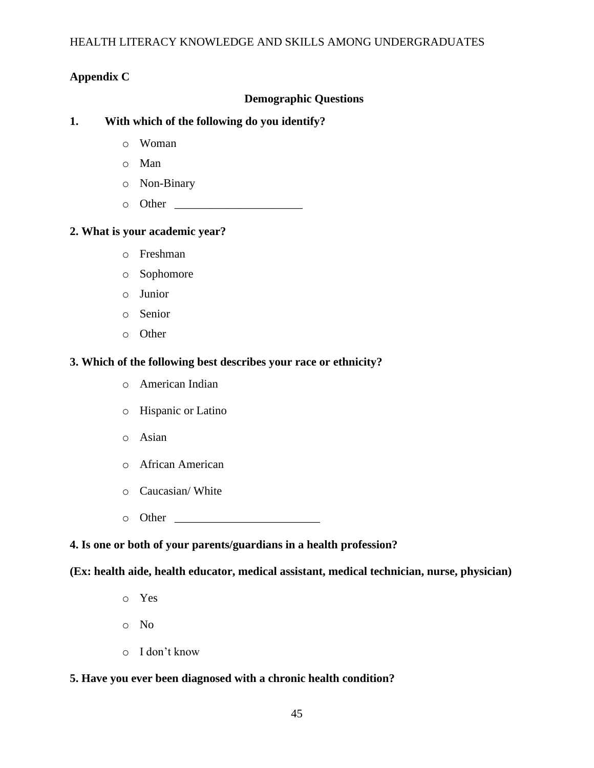## **Appendix C**

## **Demographic Questions**

### **1. With which of the following do you identify?**

- o Woman
- o Man
- o Non-Binary
- $\circ$  Other

### **2. What is your academic year?**

- o Freshman
- o Sophomore
- o Junior
- o Senior
- o Other

### **3. Which of the following best describes your race or ethnicity?**

- o American Indian
- o Hispanic or Latino
- o Asian
- o African American
- o Caucasian/ White
- o Other \_\_\_\_\_\_\_\_\_\_\_\_\_\_\_\_\_\_\_\_\_\_\_\_\_

## **4. Is one or both of your parents/guardians in a health profession?**

**(Ex: health aide, health educator, medical assistant, medical technician, nurse, physician)**

- o Yes
- o No
- o I don't know

### **5. Have you ever been diagnosed with a chronic health condition?**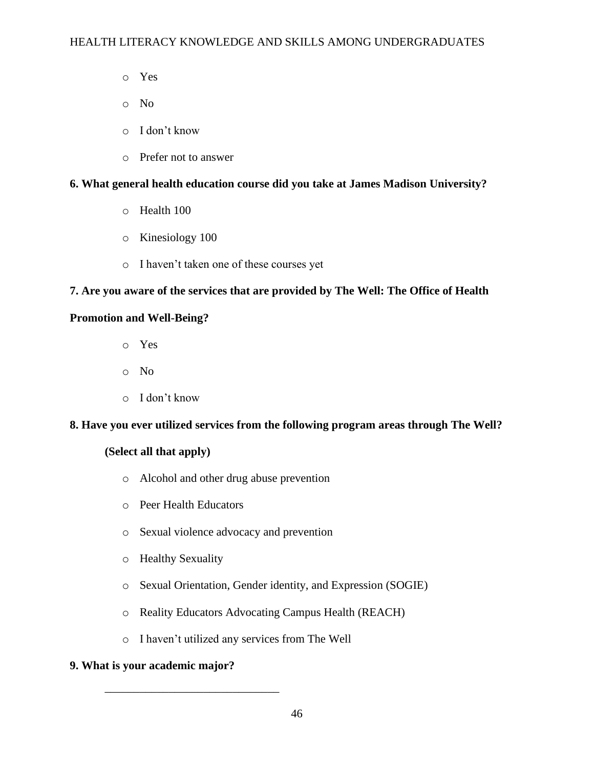- o Yes
- o No
- o I don't know
- o Prefer not to answer

# **6. What general health education course did you take at James Madison University?**

- o Health 100
- o Kinesiology 100
- o I haven't taken one of these courses yet

# **7. Are you aware of the services that are provided by The Well: The Office of Health**

## **Promotion and Well-Being?**

- o Yes
- o No
- o I don't know

## **8. Have you ever utilized services from the following program areas through The Well?**

## **(Select all that apply)**

- o Alcohol and other drug abuse prevention
- o Peer Health Educators
- o Sexual violence advocacy and prevention
- o Healthy Sexuality
- o Sexual Orientation, Gender identity, and Expression (SOGIE)
- o Reality Educators Advocating Campus Health (REACH)
- o I haven't utilized any services from The Well

## **9. What is your academic major?**

\_\_\_\_\_\_\_\_\_\_\_\_\_\_\_\_\_\_\_\_\_\_\_\_\_\_\_\_\_\_